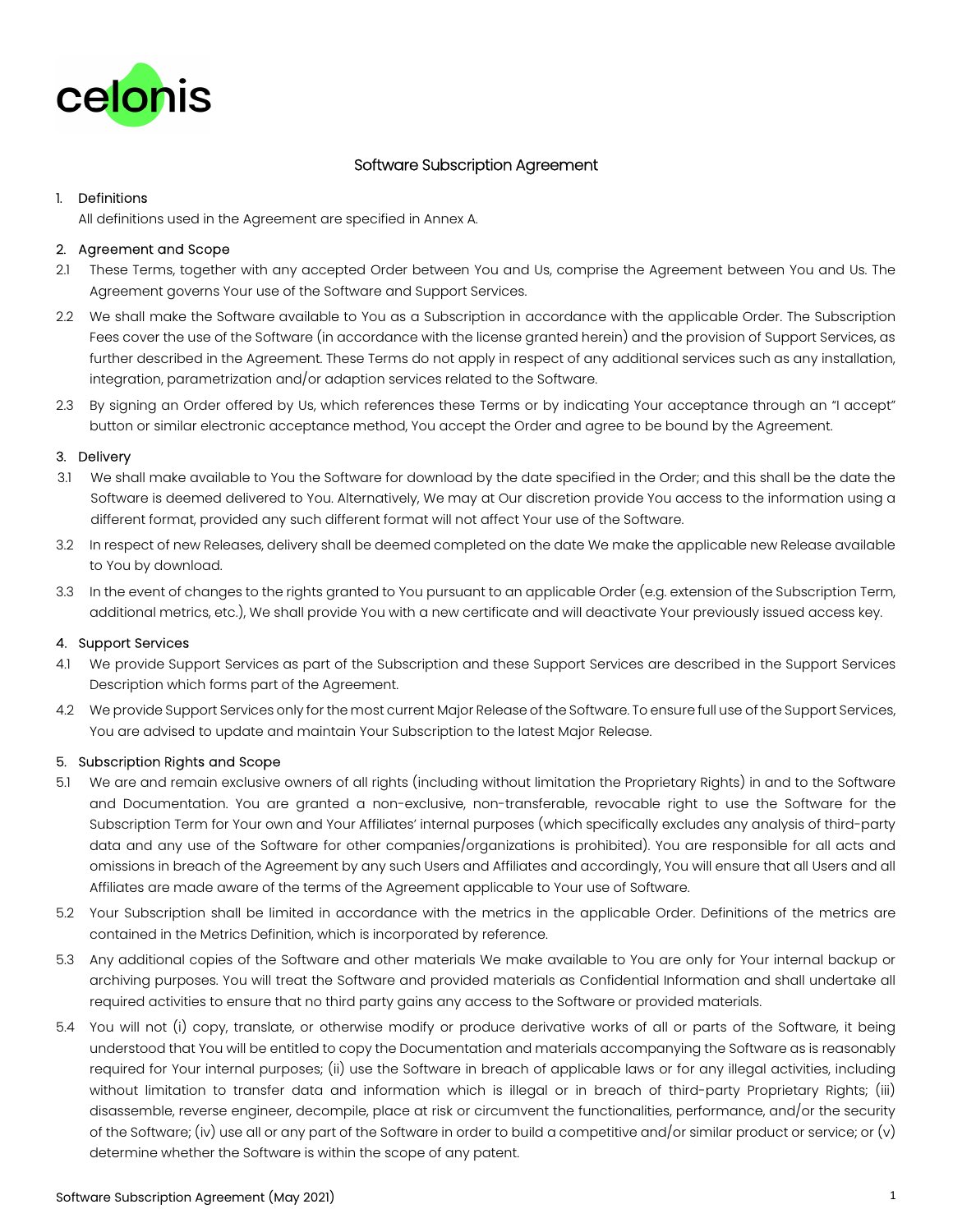

## Software Subscription Agreement

### 1. Definitions

All definitions used in the Agreement are specified in Annex A.

### 2. Agreement and Scope

- 2.1 These Terms, together with any accepted Order between You and Us, comprise the Agreement between You and Us. The Agreement governs Your use of the Software and Support Services.
- 2.2 We shall make the Software available to You as a Subscription in accordance with the applicable Order. The Subscription Fees cover the use of the Software (in accordance with the license granted herein) and the provision of Support Services, as further described in the Agreement. These Terms do not apply in respect of any additional services such as any installation, integration, parametrization and/or adaption services related to the Software.
- 2.3 By signing an Order offered by Us, which references these Terms or by indicating Your acceptance through an "I accept" button or similar electronic acceptance method, You accept the Order and agree to be bound by the Agreement.

### 3. Delivery

- 3.1 We shall make available to You the Software for download by the date specified in the Order; and this shall be the date the Software is deemed delivered to You. Alternatively, We may at Our discretion provide You access to the information using a different format, provided any such different format will not affect Your use of the Software.
- 3.2 In respect of new Releases, delivery shall be deemed completed on the date We make the applicable new Release available to You by download.
- 3.3 In the event of changes to the rights granted to You pursuant to an applicable Order (e.g. extension of the Subscription Term, additional metrics, etc.), We shall provide You with a new certificate and will deactivate Your previously issued access key.

#### 4. Support Services

- 4.1 We provide Support Services as part of the Subscription and these Support Services are described in the Support Services Description which forms part of the Agreement.
- 4.2 We provide Support Services only for the most current Major Release of the Software. To ensure full use of the Support Services, You are advised to update and maintain Your Subscription to the latest Major Release.

#### 5. Subscription Rights and Scope

- 5.1 We are and remain exclusive owners of all rights (including without limitation the Proprietary Rights) in and to the Software and Documentation. You are granted a non-exclusive, non-transferable, revocable right to use the Software for the Subscription Term for Your own and Your Affiliates' internal purposes (which specifically excludes any analysis of third-party data and any use of the Software for other companies/organizations is prohibited). You are responsible for all acts and omissions in breach of the Agreement by any such Users and Affiliates and accordingly, You will ensure that all Users and all Affiliates are made aware of the terms of the Agreement applicable to Your use of Software.
- 5.2 Your Subscription shall be limited in accordance with the metrics in the applicable Order. Definitions of the metrics are contained in the Metrics Definition, which is incorporated by reference.
- 5.3 Any additional copies of the Software and other materials We make available to You are only for Your internal backup or archiving purposes. You will treat the Software and provided materials as Confidential Information and shall undertake all required activities to ensure that no third party gains any access to the Software or provided materials.
- 5.4 You will not (i) copy, translate, or otherwise modify or produce derivative works of all or parts of the Software, it being understood that You will be entitled to copy the Documentation and materials accompanying the Software as is reasonably required for Your internal purposes; (ii) use the Software in breach of applicable laws or for any illegal activities, including without limitation to transfer data and information which is illegal or in breach of third-party Proprietary Rights; (iii) disassemble, reverse engineer, decompile, place at risk or circumvent the functionalities, performance, and/or the security of the Software; (iv) use all or any part of the Software in order to build a competitive and/or similar product or service; or (v) determine whether the Software is within the scope of any patent.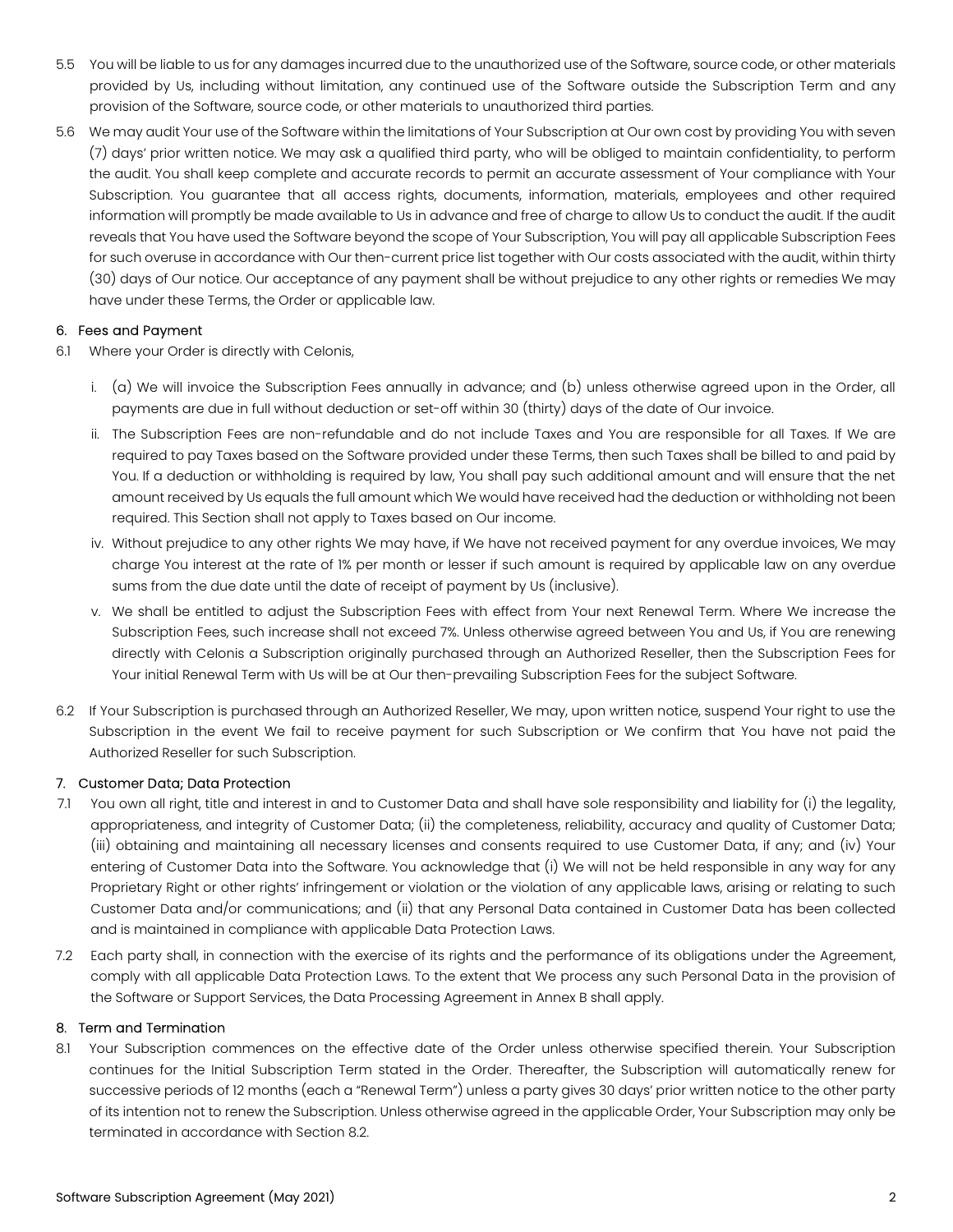- 5.5 You will be liable to us for any damages incurred due to the unauthorized use of the Software, source code, or other materials provided by Us, including without limitation, any continued use of the Software outside the Subscription Term and any provision of the Software, source code, or other materials to unauthorized third parties.
- 5.6 We may audit Your use of the Software within the limitations of Your Subscription at Our own cost by providing You with seven (7) days' prior written notice. We may ask a qualified third party, who will be obliged to maintain confidentiality, to perform the audit. You shall keep complete and accurate records to permit an accurate assessment of Your compliance with Your Subscription. You guarantee that all access rights, documents, information, materials, employees and other required information will promptly be made available to Us in advance and free of charge to allow Us to conduct the audit. If the audit reveals that You have used the Software beyond the scope of Your Subscription, You will pay all applicable Subscription Fees for such overuse in accordance with Our then-current price list together with Our costs associated with the audit, within thirty (30) days of Our notice. Our acceptance of any payment shall be without prejudice to any other rights or remedies We may have under these Terms, the Order or applicable law.

### 6. Fees and Payment

- 6.1 Where your Order is directly with Celonis,
	- i. (a) We will invoice the Subscription Fees annually in advance; and (b) unless otherwise agreed upon in the Order, all payments are due in full without deduction or set-off within 30 (thirty) days of the date of Our invoice.
	- ii. The Subscription Fees are non-refundable and do not include Taxes and You are responsible for all Taxes. If We are required to pay Taxes based on the Software provided under these Terms, then such Taxes shall be billed to and paid by You. If a deduction or withholding is required by law, You shall pay such additional amount and will ensure that the net amount received by Us equals the full amount which We would have received had the deduction or withholding not been required. This Section shall not apply to Taxes based on Our income.
	- iv. Without prejudice to any other rights We may have, if We have not received payment for any overdue invoices, We may charge You interest at the rate of 1% per month or lesser if such amount is required by applicable law on any overdue sums from the due date until the date of receipt of payment by Us (inclusive).
	- v. We shall be entitled to adjust the Subscription Fees with effect from Your next Renewal Term. Where We increase the Subscription Fees, such increase shall not exceed 7%. Unless otherwise agreed between You and Us, if You are renewing directly with Celonis a Subscription originally purchased through an Authorized Reseller, then the Subscription Fees for Your initial Renewal Term with Us will be at Our then-prevailing Subscription Fees for the subject Software.
- 6.2 If Your Subscription is purchased through an Authorized Reseller, We may, upon written notice, suspend Your right to use the Subscription in the event We fail to receive payment for such Subscription or We confirm that You have not paid the Authorized Reseller for such Subscription.

### 7. Customer Data; Data Protection

- 7.1 You own all right, title and interest in and to Customer Data and shall have sole responsibility and liability for (i) the legality, appropriateness, and integrity of Customer Data; (ii) the completeness, reliability, accuracy and quality of Customer Data; (iii) obtaining and maintaining all necessary licenses and consents required to use Customer Data, if any; and (iv) Your entering of Customer Data into the Software. You acknowledge that (i) We will not be held responsible in any way for any Proprietary Right or other rights' infringement or violation or the violation of any applicable laws, arising or relating to such Customer Data and/or communications; and (ii) that any Personal Data contained in Customer Data has been collected and is maintained in compliance with applicable Data Protection Laws.
- 7.2 Each party shall, in connection with the exercise of its rights and the performance of its obligations under the Agreement, comply with all applicable Data Protection Laws. To the extent that We process any such Personal Data in the provision of the Software or Support Services, the Data Processing Agreement in Annex B shall apply.

### 8. Term and Termination

8.1 Your Subscription commences on the effective date of the Order unless otherwise specified therein. Your Subscription continues for the Initial Subscription Term stated in the Order. Thereafter, the Subscription will automatically renew for successive periods of 12 months (each a "Renewal Term") unless a party gives 30 days' prior written notice to the other party of its intention not to renew the Subscription. Unless otherwise agreed in the applicable Order, Your Subscription may only be terminated in accordance with Section 8.2.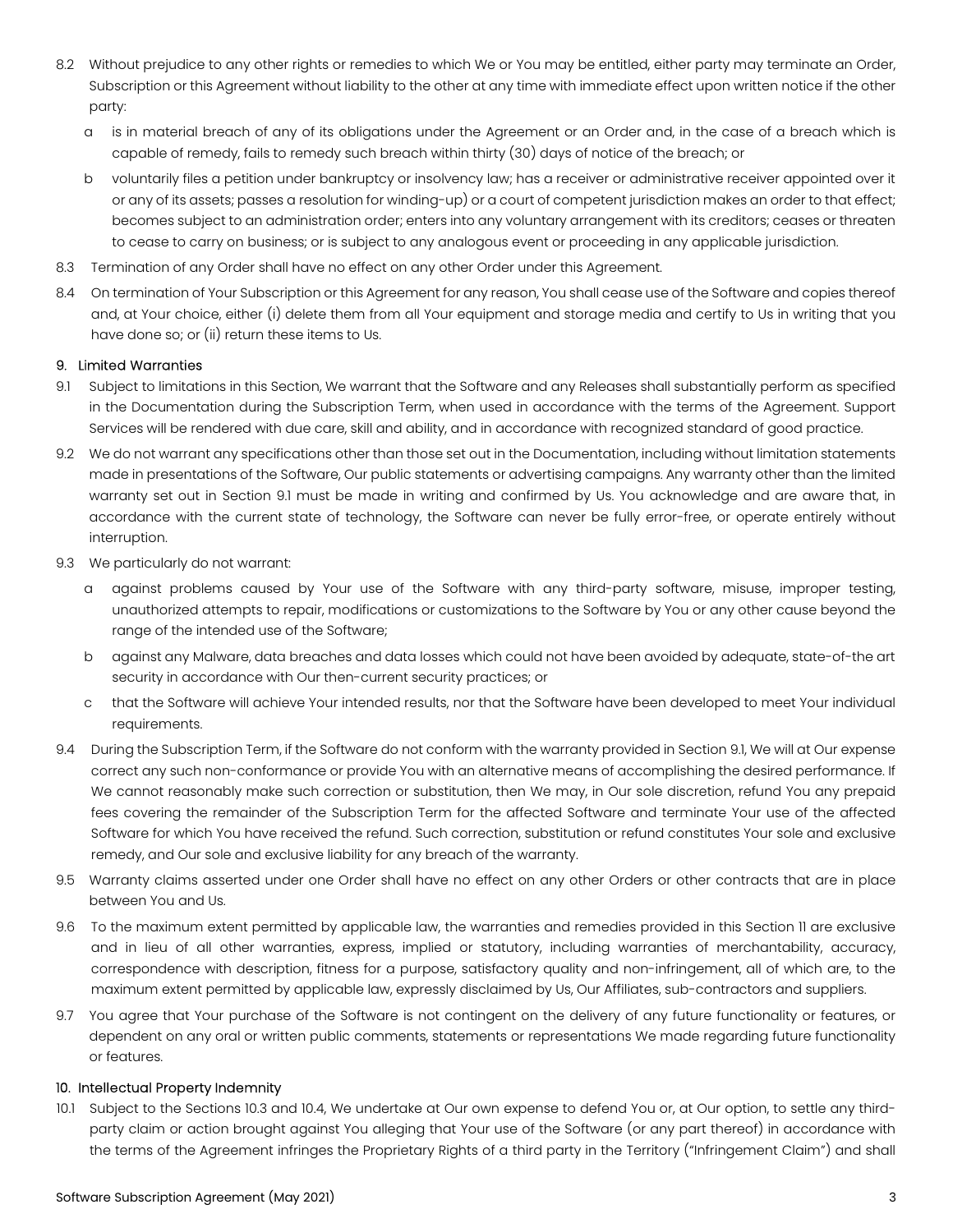- 8.2 Without prejudice to any other rights or remedies to which We or You may be entitled, either party may terminate an Order, Subscription or this Agreement without liability to the other at any time with immediate effect upon written notice if the other party:
	- a is in material breach of any of its obligations under the Agreement or an Order and, in the case of a breach which is capable of remedy, fails to remedy such breach within thirty (30) days of notice of the breach; or
	- b voluntarily files a petition under bankruptcy or insolvency law; has a receiver or administrative receiver appointed over it or any of its assets; passes a resolution for winding-up) or a court of competent jurisdiction makes an order to that effect; becomes subject to an administration order; enters into any voluntary arrangement with its creditors; ceases or threaten to cease to carry on business; or is subject to any analogous event or proceeding in any applicable jurisdiction.
- 8.3 Termination of any Order shall have no effect on any other Order under this Agreement.
- 8.4 On termination of Your Subscription or this Agreement for any reason, You shall cease use of the Software and copies thereof and, at Your choice, either (i) delete them from all Your equipment and storage media and certify to Us in writing that you have done so; or (ii) return these items to Us.

### 9. Limited Warranties

- 9.1 Subject to limitations in this Section, We warrant that the Software and any Releases shall substantially perform as specified in the Documentation during the Subscription Term, when used in accordance with the terms of the Agreement. Support Services will be rendered with due care, skill and ability, and in accordance with recognized standard of good practice.
- 9.2 We do not warrant any specifications other than those set out in the Documentation, including without limitation statements made in presentations of the Software, Our public statements or advertising campaigns. Any warranty other than the limited warranty set out in Section 9.1 must be made in writing and confirmed by Us. You acknowledge and are aware that, in accordance with the current state of technology, the Software can never be fully error-free, or operate entirely without interruption.
- 9.3 We particularly do not warrant:
	- a against problems caused by Your use of the Software with any third-party software, misuse, improper testing, unauthorized attempts to repair, modifications or customizations to the Software by You or any other cause beyond the range of the intended use of the Software;
	- b against any Malware, data breaches and data losses which could not have been avoided by adequate, state-of-the art security in accordance with Our then-current security practices; or
	- c that the Software will achieve Your intended results, nor that the Software have been developed to meet Your individual requirements.
- 9.4 During the Subscription Term, if the Software do not conform with the warranty provided in Section 9.1, We will at Our expense correct any such non-conformance or provide You with an alternative means of accomplishing the desired performance. If We cannot reasonably make such correction or substitution, then We may, in Our sole discretion, refund You any prepaid fees covering the remainder of the Subscription Term for the affected Software and terminate Your use of the affected Software for which You have received the refund. Such correction, substitution or refund constitutes Your sole and exclusive remedy, and Our sole and exclusive liability for any breach of the warranty.
- 9.5 Warranty claims asserted under one Order shall have no effect on any other Orders or other contracts that are in place between You and Us.
- 9.6 To the maximum extent permitted by applicable law, the warranties and remedies provided in this Section 11 are exclusive and in lieu of all other warranties, express, implied or statutory, including warranties of merchantability, accuracy, correspondence with description, fitness for a purpose, satisfactory quality and non-infringement, all of which are, to the maximum extent permitted by applicable law, expressly disclaimed by Us, Our Affiliates, sub-contractors and suppliers.
- 9.7 You agree that Your purchase of the Software is not contingent on the delivery of any future functionality or features, or dependent on any oral or written public comments, statements or representations We made regarding future functionality or features.

#### 10. Intellectual Property Indemnity

10.1 Subject to the Sections 10.3 and 10.4, We undertake at Our own expense to defend You or, at Our option, to settle any thirdparty claim or action brought against You alleging that Your use of the Software (or any part thereof) in accordance with the terms of the Agreement infringes the Proprietary Rights of a third party in the Territory ("Infringement Claim") and shall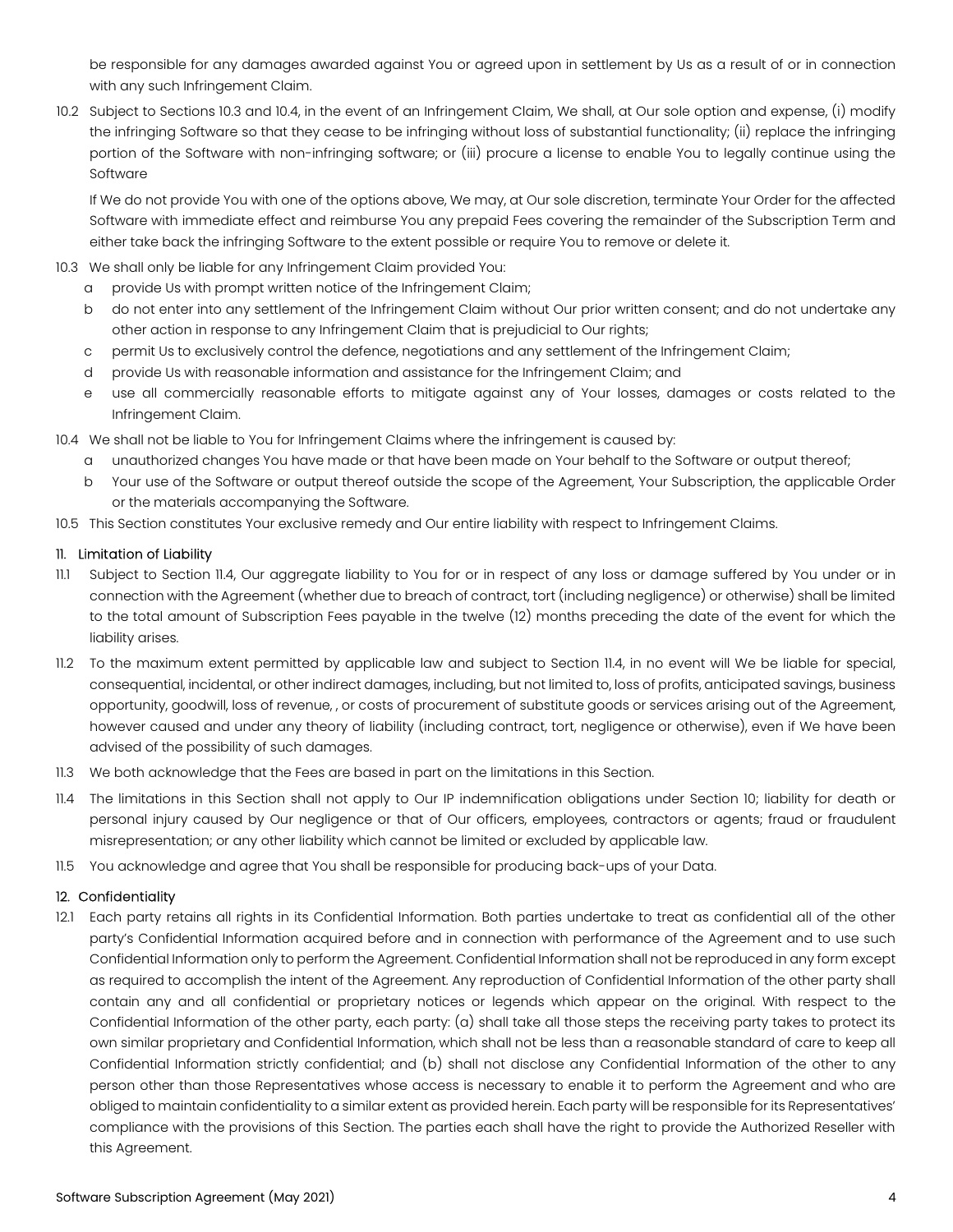be responsible for any damages awarded against You or agreed upon in settlement by Us as a result of or in connection with any such Infringement Claim.

10.2 Subject to Sections 10.3 and 10.4, in the event of an Infringement Claim, We shall, at Our sole option and expense, (i) modify the infringing Software so that they cease to be infringing without loss of substantial functionality; (ii) replace the infringing portion of the Software with non-infringing software; or (iii) procure a license to enable You to legally continue using the Software

If We do not provide You with one of the options above, We may, at Our sole discretion, terminate Your Order for the affected Software with immediate effect and reimburse You any prepaid Fees covering the remainder of the Subscription Term and either take back the infringing Software to the extent possible or require You to remove or delete it.

### 10.3 We shall only be liable for any Infringement Claim provided You:

- a provide Us with prompt written notice of the Infringement Claim;
- b do not enter into any settlement of the Infringement Claim without Our prior written consent; and do not undertake any other action in response to any Infringement Claim that is prejudicial to Our rights;
- c permit Us to exclusively control the defence, negotiations and any settlement of the Infringement Claim;
- d provide Us with reasonable information and assistance for the Infringement Claim; and
- e use all commercially reasonable efforts to mitigate against any of Your losses, damages or costs related to the Infringement Claim.
- 10.4 We shall not be liable to You for Infringement Claims where the infringement is caused by:
	- a unauthorized changes You have made or that have been made on Your behalf to the Software or output thereof;
	- b Your use of the Software or output thereof outside the scope of the Agreement, Your Subscription, the applicable Order or the materials accompanying the Software.
- 10.5 This Section constitutes Your exclusive remedy and Our entire liability with respect to Infringement Claims.

### 11. Limitation of Liability

- 11.1 Subject to Section 11.4, Our aggregate liability to You for or in respect of any loss or damage suffered by You under or in connection with the Agreement (whether due to breach of contract, tort (including negligence) or otherwise) shall be limited to the total amount of Subscription Fees payable in the twelve (12) months preceding the date of the event for which the liability arises.
- 11.2 To the maximum extent permitted by applicable law and subject to Section 11.4, in no event will We be liable for special, consequential, incidental, or other indirect damages, including, but not limited to, loss of profits, anticipated savings, business opportunity, goodwill, loss of revenue, , or costs of procurement of substitute goods or services arising out of the Agreement, however caused and under any theory of liability (including contract, tort, negligence or otherwise), even if We have been advised of the possibility of such damages.
- 11.3 We both acknowledge that the Fees are based in part on the limitations in this Section.
- 11.4 The limitations in this Section shall not apply to Our IP indemnification obligations under Section 10; liability for death or personal injury caused by Our negligence or that of Our officers, employees, contractors or agents; fraud or fraudulent misrepresentation; or any other liability which cannot be limited or excluded by applicable law.
- 11.5 You acknowledge and agree that You shall be responsible for producing back-ups of your Data.

### 12. Confidentiality

12.1 Each party retains all rights in its Confidential Information. Both parties undertake to treat as confidential all of the other party's Confidential Information acquired before and in connection with performance of the Agreement and to use such Confidential Information only to perform the Agreement. Confidential Information shall not be reproduced in any form except as required to accomplish the intent of the Agreement. Any reproduction of Confidential Information of the other party shall contain any and all confidential or proprietary notices or legends which appear on the original. With respect to the Confidential Information of the other party, each party: (a) shall take all those steps the receiving party takes to protect its own similar proprietary and Confidential Information, which shall not be less than a reasonable standard of care to keep all Confidential Information strictly confidential; and (b) shall not disclose any Confidential Information of the other to any person other than those Representatives whose access is necessary to enable it to perform the Agreement and who are obliged to maintain confidentiality to a similar extent as provided herein. Each party will be responsible for its Representatives' compliance with the provisions of this Section. The parties each shall have the right to provide the Authorized Reseller with this Agreement.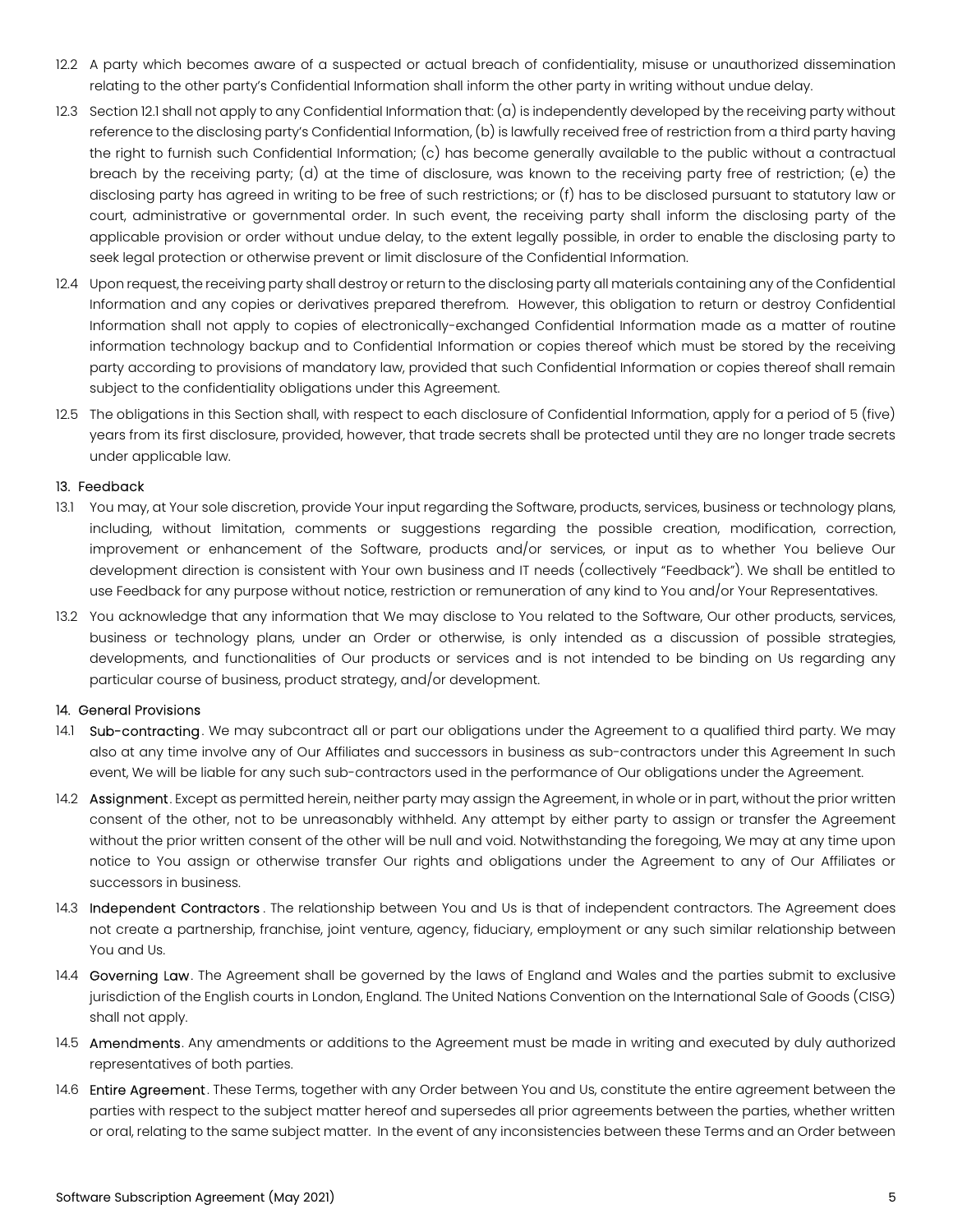- 12.2 A party which becomes aware of a suspected or actual breach of confidentiality, misuse or unauthorized dissemination relating to the other party's Confidential Information shall inform the other party in writing without undue delay.
- 12.3 Section 12.1 shall not apply to any Confidential Information that: (a) is independently developed by the receiving party without reference to the disclosing party's Confidential Information, (b) is lawfully received free of restriction from a third party having the right to furnish such Confidential Information; (c) has become generally available to the public without a contractual breach by the receiving party; (d) at the time of disclosure, was known to the receiving party free of restriction; (e) the disclosing party has agreed in writing to be free of such restrictions; or (f) has to be disclosed pursuant to statutory law or court, administrative or governmental order. In such event, the receiving party shall inform the disclosing party of the applicable provision or order without undue delay, to the extent legally possible, in order to enable the disclosing party to seek legal protection or otherwise prevent or limit disclosure of the Confidential Information.
- 12.4 Upon request, the receiving party shall destroy or return to the disclosing party all materials containing any of the Confidential Information and any copies or derivatives prepared therefrom. However, this obligation to return or destroy Confidential Information shall not apply to copies of electronically-exchanged Confidential Information made as a matter of routine information technology backup and to Confidential Information or copies thereof which must be stored by the receiving party according to provisions of mandatory law, provided that such Confidential Information or copies thereof shall remain subject to the confidentiality obligations under this Agreement.
- 12.5 The obligations in this Section shall, with respect to each disclosure of Confidential Information, apply for a period of 5 (five) years from its first disclosure, provided, however, that trade secrets shall be protected until they are no longer trade secrets under applicable law.

### 13. Feedback

- 13.1 You may, at Your sole discretion, provide Your input regarding the Software, products, services, business or technology plans, including, without limitation, comments or suggestions regarding the possible creation, modification, correction, improvement or enhancement of the Software, products and/or services, or input as to whether You believe Our development direction is consistent with Your own business and IT needs (collectively "Feedback"). We shall be entitled to use Feedback for any purpose without notice, restriction or remuneration of any kind to You and/or Your Representatives.
- 13.2 You acknowledge that any information that We may disclose to You related to the Software, Our other products, services, business or technology plans, under an Order or otherwise, is only intended as a discussion of possible strategies, developments, and functionalities of Our products or services and is not intended to be binding on Us regarding any particular course of business, product strategy, and/or development.

#### 14. General Provisions

- 14.1 Sub-contracting. We may subcontract all or part our obligations under the Agreement to a qualified third party. We may also at any time involve any of Our Affiliates and successors in business as sub-contractors under this Agreement In such event, We will be liable for any such sub-contractors used in the performance of Our obligations under the Agreement.
- 14.2 Assignment. Except as permitted herein, neither party may assign the Agreement, in whole or in part, without the prior written consent of the other, not to be unreasonably withheld. Any attempt by either party to assign or transfer the Agreement without the prior written consent of the other will be null and void. Notwithstanding the foregoing, We may at any time upon notice to You assign or otherwise transfer Our rights and obligations under the Agreement to any of Our Affiliates or successors in business.
- 14.3 Independent Contractors. The relationship between You and Us is that of independent contractors. The Agreement does not create a partnership, franchise, joint venture, agency, fiduciary, employment or any such similar relationship between You and Us.
- 14.4 Governing Law. The Agreement shall be governed by the laws of England and Wales and the parties submit to exclusive jurisdiction of the English courts in London, England. The United Nations Convention on the International Sale of Goods (CISG) shall not apply.
- 14.5 Amendments. Any amendments or additions to the Agreement must be made in writing and executed by duly authorized representatives of both parties.
- 14.6 Entire Agreement. These Terms, together with any Order between You and Us, constitute the entire agreement between the parties with respect to the subject matter hereof and supersedes all prior agreements between the parties, whether written or oral, relating to the same subject matter. In the event of any inconsistencies between these Terms and an Order between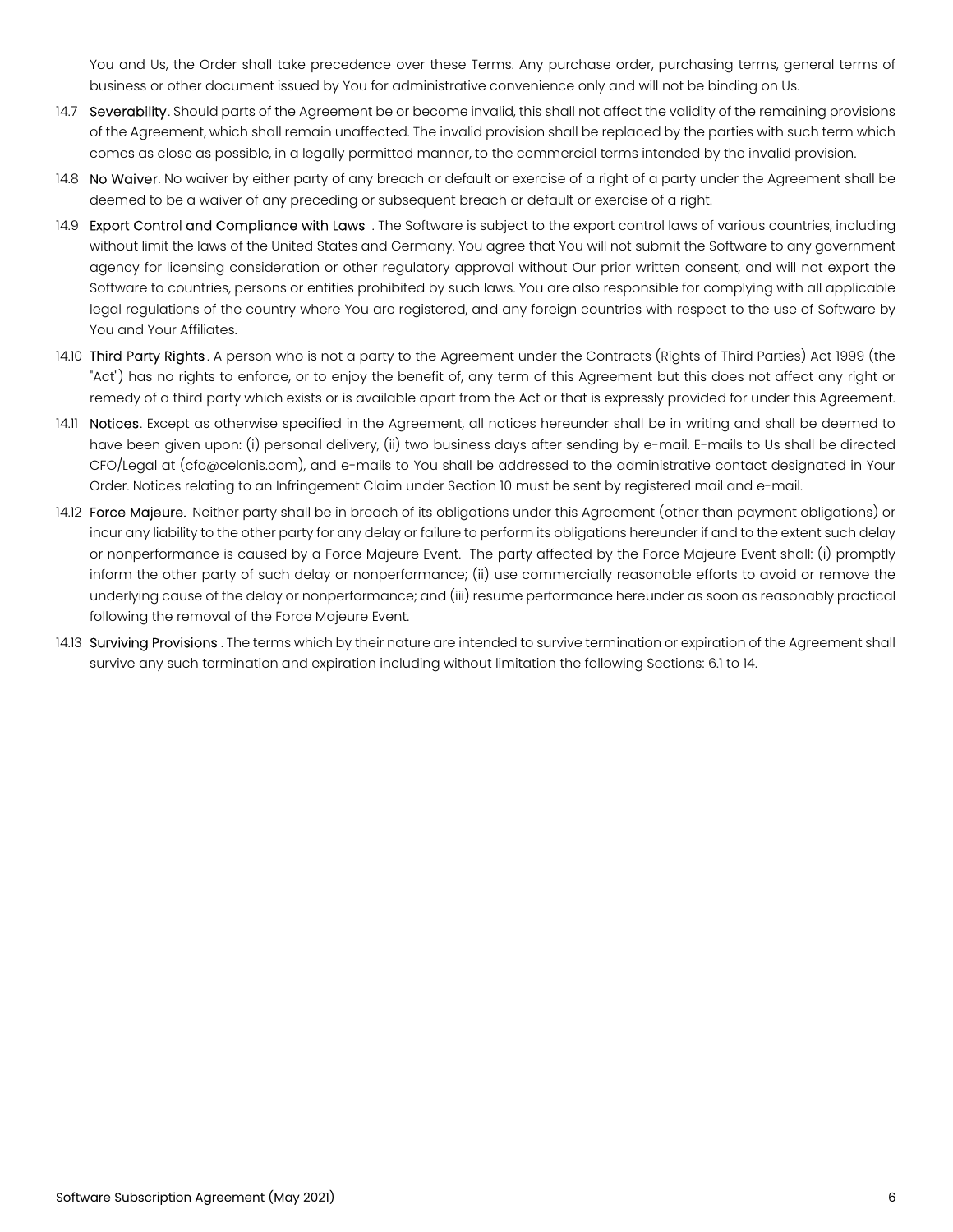You and Us, the Order shall take precedence over these Terms. Any purchase order, purchasing terms, general terms of business or other document issued by You for administrative convenience only and will not be binding on Us.

- 14.7 Severability. Should parts of the Agreement be or become invalid, this shall not affect the validity of the remaining provisions of the Agreement, which shall remain unaffected. The invalid provision shall be replaced by the parties with such term which comes as close as possible, in a legally permitted manner, to the commercial terms intended by the invalid provision.
- 14.8 No Waiver. No waiver by either party of any breach or default or exercise of a right of a party under the Agreement shall be deemed to be a waiver of any preceding or subsequent breach or default or exercise of a right.
- 14.9 Export Control and Compliance with Laws . The Software is subject to the export control laws of various countries, including without limit the laws of the United States and Germany. You agree that You will not submit the Software to any government agency for licensing consideration or other regulatory approval without Our prior written consent, and will not export the Software to countries, persons or entities prohibited by such laws. You are also responsible for complying with all applicable legal regulations of the country where You are registered, and any foreign countries with respect to the use of Software by You and Your Affiliates.
- 14.10 Third Party Rights. A person who is not a party to the Agreement under the Contracts (Rights of Third Parties) Act 1999 (the "Act") has no rights to enforce, or to enjoy the benefit of, any term of this Agreement but this does not affect any right or remedy of a third party which exists or is available apart from the Act or that is expressly provided for under this Agreement.
- 14.11 Notices. Except as otherwise specified in the Agreement, all notices hereunder shall be in writing and shall be deemed to have been given upon: (i) personal delivery, (ii) two business days after sending by e-mail. E-mails to Us shall be directed CFO/Legal at (cfo@celonis.com), and e-mails to You shall be addressed to the administrative contact designated in Your Order. Notices relating to an Infringement Claim under Section 10 must be sent by registered mail and e-mail.
- 14.12 Force Majeure. Neither party shall be in breach of its obligations under this Agreement (other than payment obligations) or incur any liability to the other party for any delay or failure to perform its obligations hereunder if and to the extent such delay or nonperformance is caused by a Force Majeure Event. The party affected by the Force Majeure Event shall: (i) promptly inform the other party of such delay or nonperformance; (ii) use commercially reasonable efforts to avoid or remove the underlying cause of the delay or nonperformance; and (iii) resume performance hereunder as soon as reasonably practical following the removal of the Force Majeure Event.
- 14.13 Surviving Provisions. The terms which by their nature are intended to survive termination or expiration of the Agreement shall survive any such termination and expiration including without limitation the following Sections: 6.1 to 14.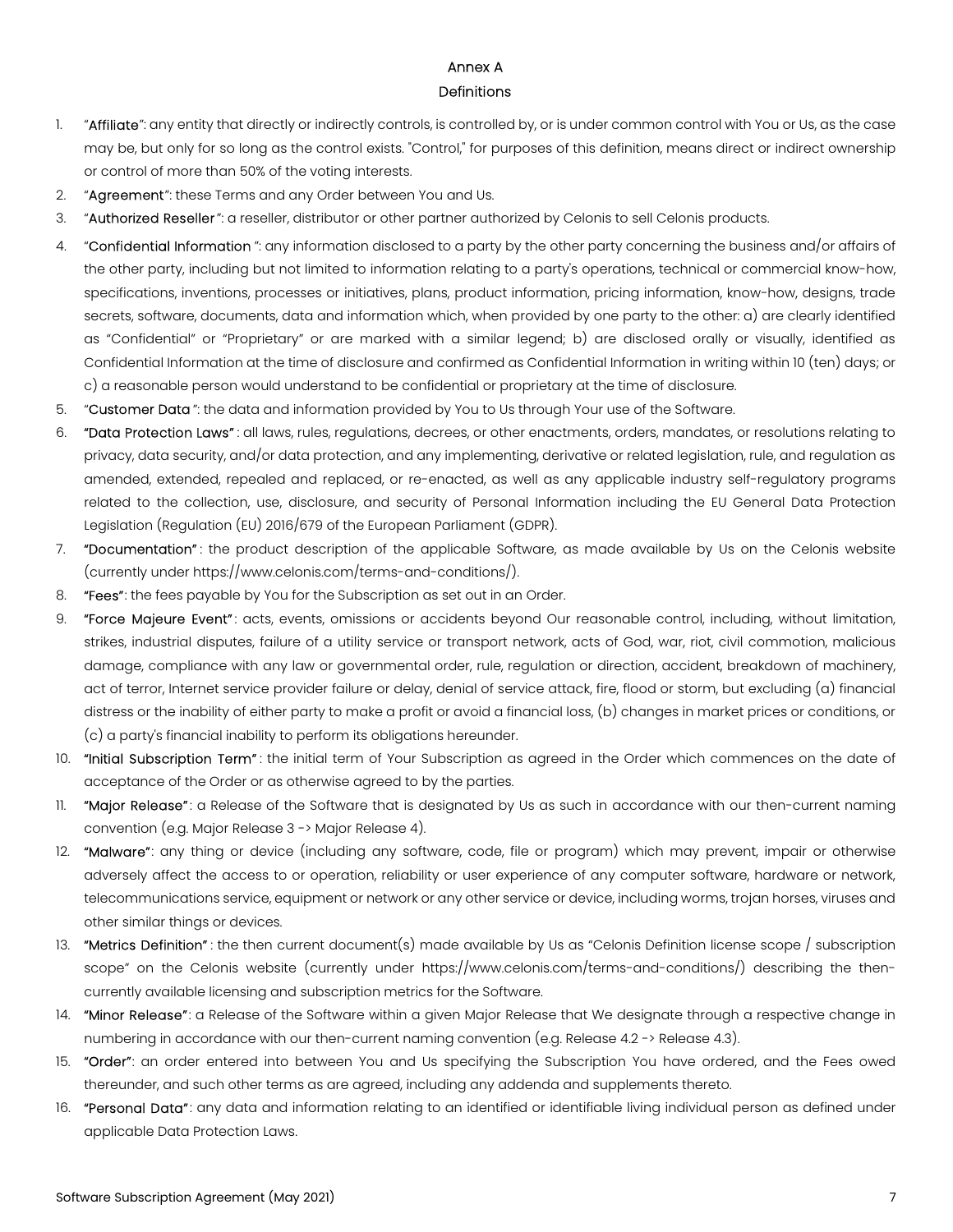# Annex A Definitions

- 1. "Affiliate": any entity that directly or indirectly controls, is controlled by, or is under common control with You or Us, as the case may be, but only for so long as the control exists. "Control," for purposes of this definition, means direct or indirect ownership or control of more than 50% of the voting interests.
- 2. "Agreement": these Terms and any Order between You and Us.
- 3. "Authorized Reseller": a reseller, distributor or other partner authorized by Celonis to sell Celonis products.
- 4. "Confidential Information": any information disclosed to a party by the other party concerning the business and/or affairs of the other party, including but not limited to information relating to a party's operations, technical or commercial know-how, specifications, inventions, processes or initiatives, plans, product information, pricing information, know-how, designs, trade secrets, software, documents, data and information which, when provided by one party to the other: a) are clearly identified as "Confidential" or "Proprietary" or are marked with a similar legend; b) are disclosed orally or visually, identified as Confidential Information at the time of disclosure and confirmed as Confidential Information in writing within 10 (ten) days; or c) a reasonable person would understand to be confidential or proprietary at the time of disclosure.
- 5. "Customer Data ": the data and information provided by You to Us through Your use of the Software.
- 6. "Data Protection Laws": all laws, rules, regulations, decrees, or other enactments, orders, mandates, or resolutions relating to privacy, data security, and/or data protection, and any implementing, derivative or related legislation, rule, and regulation as amended, extended, repealed and replaced, or re-enacted, as well as any applicable industry self-regulatory programs related to the collection, use, disclosure, and security of Personal Information including the EU General Data Protection Legislation (Regulation (EU) 2016/679 of the European Parliament (GDPR).
- 7. "Documentation": the product description of the applicable Software, as made available by Us on the Celonis website (currently under https://www.celonis.com/terms-and-conditions/).
- 8. **"Fees"**: the fees payable by You for the Subscription as set out in an Order.
- 9. "Force Majeure Event": acts, events, omissions or accidents beyond Our reasonable control, including, without limitation, strikes, industrial disputes, failure of a utility service or transport network, acts of God, war, riot, civil commotion, malicious damage, compliance with any law or governmental order, rule, regulation or direction, accident, breakdown of machinery, act of terror, Internet service provider failure or delay, denial of service attack, fire, flood or storm, but excluding (a) financial distress or the inability of either party to make a profit or avoid a financial loss, (b) changes in market prices or conditions, or (c) a party's financial inability to perform its obligations hereunder.
- 10. "Initial Subscription Term": the initial term of Your Subscription as agreed in the Order which commences on the date of acceptance of the Order or as otherwise agreed to by the parties.
- 11. "Major Release": a Release of the Software that is designated by Us as such in accordance with our then-current naming convention (e.g. Major Release 3 -> Major Release 4).
- 12. "Malware": any thing or device (including any software, code, file or program) which may prevent, impair or otherwise adversely affect the access to or operation, reliability or user experience of any computer software, hardware or network, telecommunications service, equipment or network or any other service or device, including worms, trojan horses, viruses and other similar things or devices.
- 13. "Metrics Definition": the then current document(s) made available by Us as "Celonis Definition license scope / subscription scope" on the Celonis website (currently under https://www.celonis.com/terms-and-conditions/) describing the thencurrently available licensing and subscription metrics for the Software.
- 14. "Minor Release": a Release of the Software within a given Major Release that We designate through a respective change in numbering in accordance with our then-current naming convention (e.g. Release 4.2 -> Release 4.3).
- 15. "Order": an order entered into between You and Us specifying the Subscription You have ordered, and the Fees owed thereunder, and such other terms as are agreed, including any addenda and supplements thereto.
- 16. "Personal Data": any data and information relating to an identified or identifiable living individual person as defined under applicable Data Protection Laws.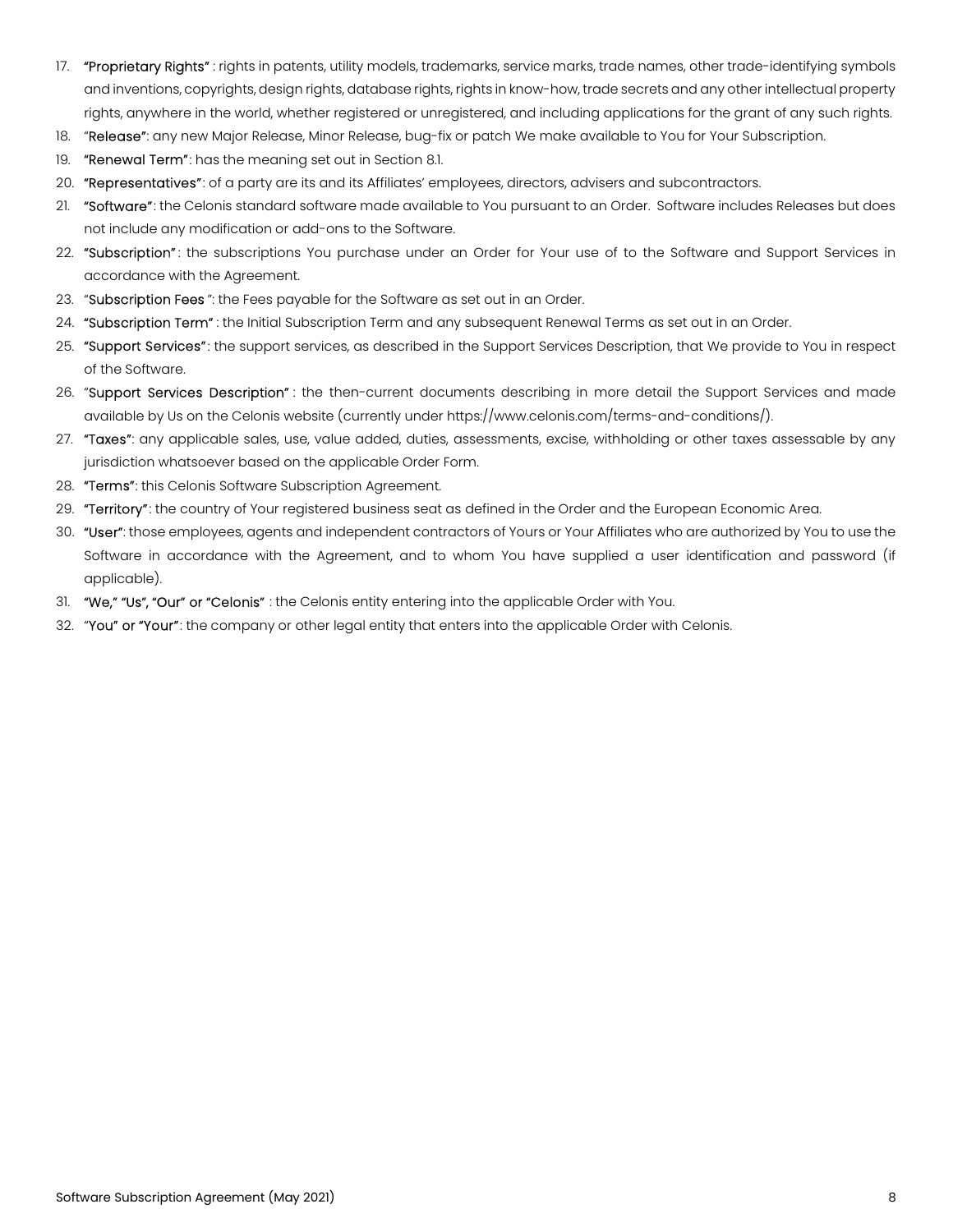- 17. "Proprietary Rights": rights in patents, utility models, trademarks, service marks, trade names, other trade-identifying symbols and inventions, copyrights, design rights, database rights, rights in know-how, trade secrets and any other intellectual property rights, anywhere in the world, whether registered or unregistered, and including applications for the grant of any such rights.
- 18. "Release": any new Major Release, Minor Release, bug-fix or patch We make available to You for Your Subscription.
- 19. "Renewal Term": has the meaning set out in Section 8.1.
- 20. "Representatives": of a party are its and its Affiliates' employees, directors, advisers and subcontractors.
- 21. "Software": the Celonis standard software made available to You pursuant to an Order. Software includes Releases but does not include any modification or add-ons to the Software.
- 22. "Subscription": the subscriptions You purchase under an Order for Your use of to the Software and Support Services in accordance with the Agreement.
- 23. "Subscription Fees ": the Fees payable for the Software as set out in an Order.
- 24. "Subscription Term": the Initial Subscription Term and any subsequent Renewal Terms as set out in an Order.
- 25. "Support Services": the support services, as described in the Support Services Description, that We provide to You in respect of the Software.
- 26. "Support Services Description": the then-current documents describing in more detail the Support Services and made available by Us on the Celonis website (currently under https://www.celonis.com/terms-and-conditions/).
- 27. "Taxes": any applicable sales, use, value added, duties, assessments, excise, withholding or other taxes assessable by any jurisdiction whatsoever based on the applicable Order Form.
- 28. "Terms": this Celonis Software Subscription Agreement.
- 29. "Territory": the country of Your registered business seat as defined in the Order and the European Economic Area.
- 30. "User": those employees, agents and independent contractors of Yours or Your Affiliates who are authorized by You to use the Software in accordance with the Agreement, and to whom You have supplied a user identification and password (if applicable).
- 31. "We," "Us", "Our" or "Celonis" : the Celonis entity entering into the applicable Order with You.
- 32. "You" or "Your": the company or other legal entity that enters into the applicable Order with Celonis.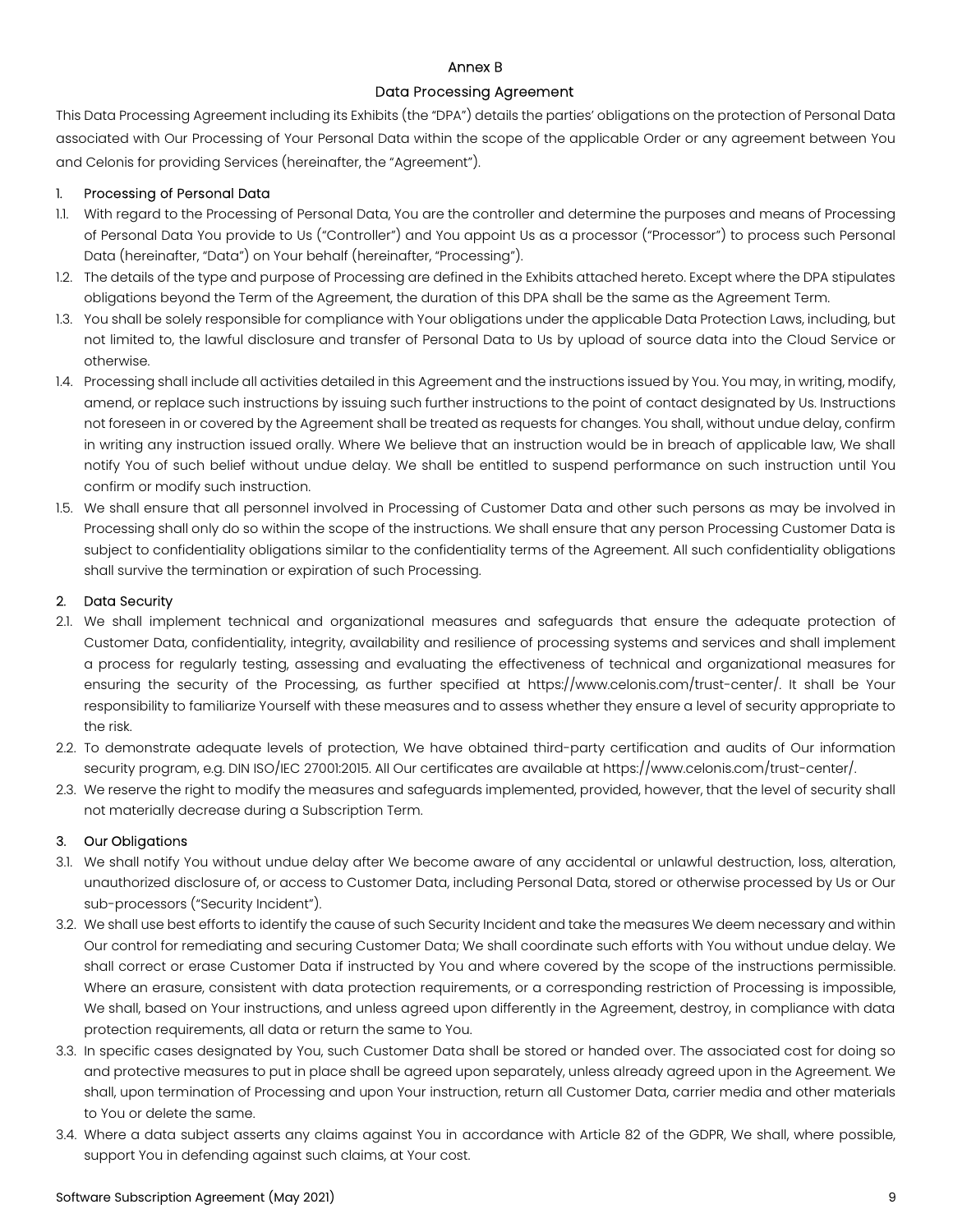#### Annex B

### Data Processing Agreement

This Data Processing Agreement including its Exhibits (the "DPA") details the parties' obligations on the protection of Personal Data associated with Our Processing of Your Personal Data within the scope of the applicable Order or any agreement between You and Celonis for providing Services (hereinafter, the "Agreement").

### 1. Processing of Personal Data

- 1.1. With regard to the Processing of Personal Data, You are the controller and determine the purposes and means of Processing of Personal Data You provide to Us ("Controller") and You appoint Us as a processor ("Processor") to process such Personal Data (hereinafter, "Data") on Your behalf (hereinafter, "Processing").
- 1.2. The details of the type and purpose of Processing are defined in the Exhibits attached hereto. Except where the DPA stipulates obligations beyond the Term of the Agreement, the duration of this DPA shall be the same as the Agreement Term.
- 1.3. You shall be solely responsible for compliance with Your obligations under the applicable Data Protection Laws, including, but not limited to, the lawful disclosure and transfer of Personal Data to Us by upload of source data into the Cloud Service or otherwise.
- 1.4. Processing shall include all activities detailed in this Agreement and the instructions issued by You. You may, in writing, modify, amend, or replace such instructions by issuing such further instructions to the point of contact designated by Us. Instructions not foreseen in or covered by the Agreement shall be treated as requests for changes. You shall, without undue delay, confirm in writing any instruction issued orally. Where We believe that an instruction would be in breach of applicable law, We shall notify You of such belief without undue delay. We shall be entitled to suspend performance on such instruction until You confirm or modify such instruction.
- 1.5. We shall ensure that all personnel involved in Processing of Customer Data and other such persons as may be involved in Processing shall only do so within the scope of the instructions. We shall ensure that any person Processing Customer Data is subject to confidentiality obligations similar to the confidentiality terms of the Agreement. All such confidentiality obligations shall survive the termination or expiration of such Processing.

## 2. Data Security

- 2.1. We shall implement technical and organizational measures and safeguards that ensure the adequate protection of Customer Data, confidentiality, integrity, availability and resilience of processing systems and services and shall implement a process for regularly testing, assessing and evaluating the effectiveness of technical and organizational measures for ensuring the security of the Processing, as further specified at https://www.celonis.com/trust-center/. It shall be Your responsibility to familiarize Yourself with these measures and to assess whether they ensure a level of security appropriate to the risk.
- 2.2. To demonstrate adequate levels of protection, We have obtained third-party certification and audits of Our information security program, e.g. DIN ISO/IEC 27001:2015. All Our certificates are available at https://www.celonis.com/trust-center/.
- 2.3. We reserve the right to modify the measures and safeguards implemented, provided, however, that the level of security shall not materially decrease during a Subscription Term.

### 3. Our Obligations

- 3.1. We shall notify You without undue delay after We become aware of any accidental or unlawful destruction, loss, alteration, unauthorized disclosure of, or access to Customer Data, including Personal Data, stored or otherwise processed by Us or Our sub-processors ("Security Incident").
- 3.2. We shall use best efforts to identify the cause of such Security Incident and take the measures We deem necessary and within Our control for remediating and securing Customer Data; We shall coordinate such efforts with You without undue delay. We shall correct or erase Customer Data if instructed by You and where covered by the scope of the instructions permissible. Where an erasure, consistent with data protection requirements, or a corresponding restriction of Processing is impossible, We shall, based on Your instructions, and unless agreed upon differently in the Agreement, destroy, in compliance with data protection requirements, all data or return the same to You.
- 3.3. In specific cases designated by You, such Customer Data shall be stored or handed over. The associated cost for doing so and protective measures to put in place shall be agreed upon separately, unless already agreed upon in the Agreement. We shall, upon termination of Processing and upon Your instruction, return all Customer Data, carrier media and other materials to You or delete the same.
- 3.4. Where a data subject asserts any claims against You in accordance with Article 82 of the GDPR, We shall, where possible, support You in defending against such claims, at Your cost.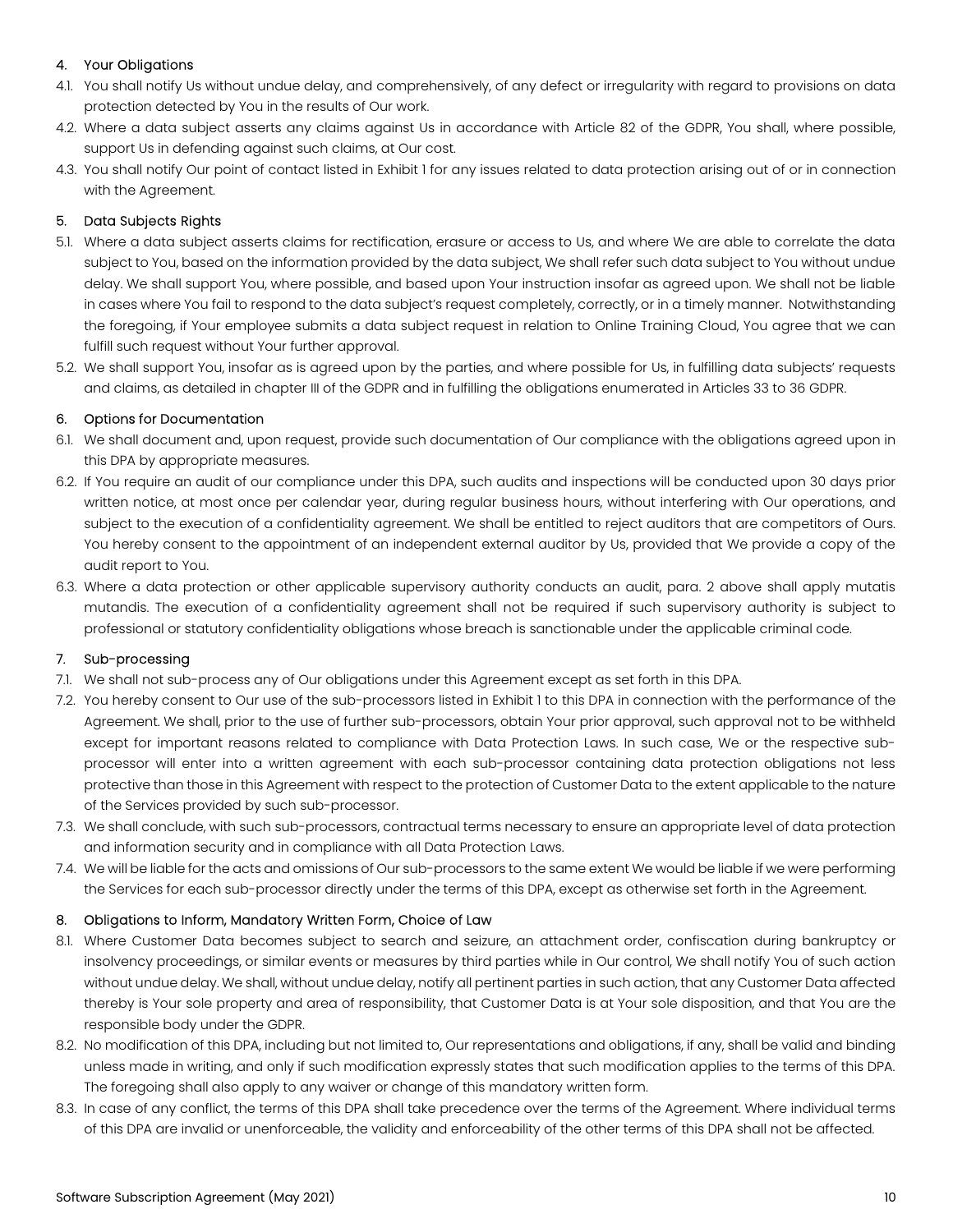## 4. Your Obligations

- 4.1. You shall notify Us without undue delay, and comprehensively, of any defect or irregularity with regard to provisions on data protection detected by You in the results of Our work.
- 4.2. Where a data subject asserts any claims against Us in accordance with Article 82 of the GDPR, You shall, where possible, support Us in defending against such claims, at Our cost.
- 4.3. You shall notify Our point of contact listed in Exhibit 1 for any issues related to data protection arising out of or in connection with the Agreement.

## 5. Data Subjects Rights

- 5.1. Where a data subject asserts claims for rectification, erasure or access to Us, and where We are able to correlate the data subject to You, based on the information provided by the data subject, We shall refer such data subject to You without undue delay. We shall support You, where possible, and based upon Your instruction insofar as agreed upon. We shall not be liable in cases where You fail to respond to the data subject's request completely, correctly, or in a timely manner. Notwithstanding the foregoing, if Your employee submits a data subject request in relation to Online Training Cloud, You agree that we can fulfill such request without Your further approval.
- 5.2. We shall support You, insofar as is agreed upon by the parties, and where possible for Us, in fulfilling data subjects' requests and claims, as detailed in chapter III of the GDPR and in fulfilling the obligations enumerated in Articles 33 to 36 GDPR.

## 6. Options for Documentation

- 6.1. We shall document and, upon request, provide such documentation of Our compliance with the obligations agreed upon in this DPA by appropriate measures.
- 6.2. If You require an audit of our compliance under this DPA, such audits and inspections will be conducted upon 30 days prior written notice, at most once per calendar year, during regular business hours, without interfering with Our operations, and subject to the execution of a confidentiality agreement. We shall be entitled to reject auditors that are competitors of Ours. You hereby consent to the appointment of an independent external auditor by Us, provided that We provide a copy of the audit report to You.
- 6.3. Where a data protection or other applicable supervisory authority conducts an audit, para. 2 above shall apply mutatis mutandis. The execution of a confidentiality agreement shall not be required if such supervisory authority is subject to professional or statutory confidentiality obligations whose breach is sanctionable under the applicable criminal code.

## 7. Sub-processing

- 7.1. We shall not sub-process any of Our obligations under this Agreement except as set forth in this DPA.
- 7.2. You hereby consent to Our use of the sub-processors listed in Exhibit 1 to this DPA in connection with the performance of the Agreement. We shall, prior to the use of further sub-processors, obtain Your prior approval, such approval not to be withheld except for important reasons related to compliance with Data Protection Laws. In such case, We or the respective subprocessor will enter into a written agreement with each sub-processor containing data protection obligations not less protective than those in this Agreement with respect to the protection of Customer Data to the extent applicable to the nature of the Services provided by such sub-processor.
- 7.3. We shall conclude, with such sub-processors, contractual terms necessary to ensure an appropriate level of data protection and information security and in compliance with all Data Protection Laws.
- 7.4. We will be liable for the acts and omissions of Our sub-processors to the same extent We would be liable if we were performing the Services for each sub-processor directly under the terms of this DPA, except as otherwise set forth in the Agreement.

## 8. Obligations to Inform, Mandatory Written Form, Choice of Law

- 8.1. Where Customer Data becomes subject to search and seizure, an attachment order, confiscation during bankruptcy or insolvency proceedings, or similar events or measures by third parties while in Our control, We shall notify You of such action without undue delay. We shall, without undue delay, notify all pertinent parties in such action, that any Customer Data affected thereby is Your sole property and area of responsibility, that Customer Data is at Your sole disposition, and that You are the responsible body under the GDPR.
- 8.2. No modification of this DPA, including but not limited to, Our representations and obligations, if any, shall be valid and binding unless made in writing, and only if such modification expressly states that such modification applies to the terms of this DPA. The foregoing shall also apply to any waiver or change of this mandatory written form.
- 8.3. In case of any conflict, the terms of this DPA shall take precedence over the terms of the Agreement. Where individual terms of this DPA are invalid or unenforceable, the validity and enforceability of the other terms of this DPA shall not be affected.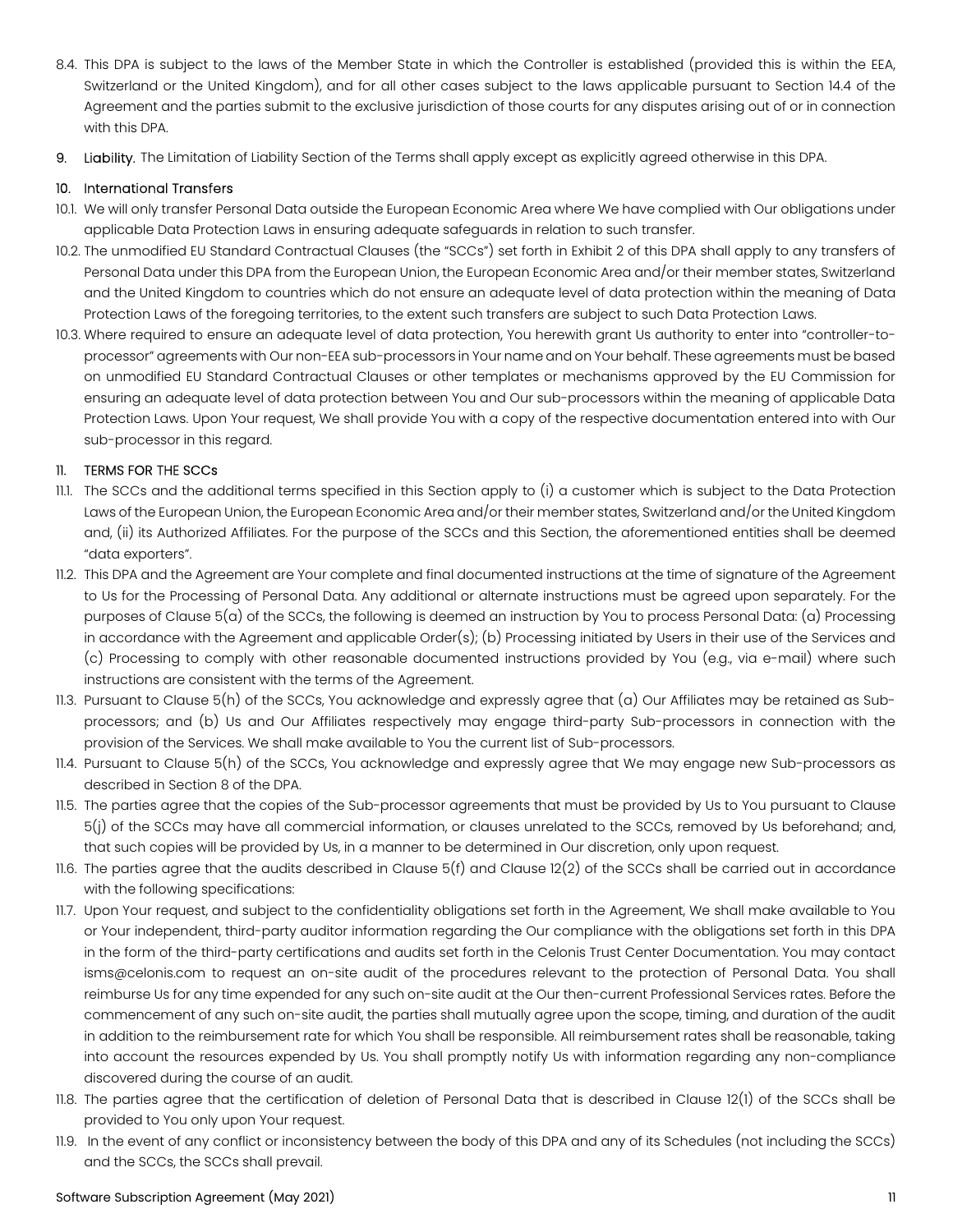- 8.4. This DPA is subject to the laws of the Member State in which the Controller is established (provided this is within the EEA, Switzerland or the United Kingdom), and for all other cases subject to the laws applicable pursuant to Section 14.4 of the Agreement and the parties submit to the exclusive jurisdiction of those courts for any disputes arising out of or in connection with this DPA.
- 9. Liability. The Limitation of Liability Section of the Terms shall apply except as explicitly agreed otherwise in this DPA.

### 10. International Transfers

- 10.1. We will only transfer Personal Data outside the European Economic Area where We have complied with Our obligations under applicable Data Protection Laws in ensuring adequate safeguards in relation to such transfer.
- 10.2. The unmodified EU Standard Contractual Clauses (the "SCCs") set forth in Exhibit 2 of this DPA shall apply to any transfers of Personal Data under this DPA from the European Union, the European Economic Area and/or their member states, Switzerland and the United Kingdom to countries which do not ensure an adequate level of data protection within the meaning of Data Protection Laws of the foregoing territories, to the extent such transfers are subject to such Data Protection Laws.
- 10.3. Where required to ensure an adequate level of data protection, You herewith grant Us authority to enter into "controller-toprocessor" agreements with Our non-EEA sub-processors in Your name and on Your behalf. These agreements must be based on unmodified EU Standard Contractual Clauses or other templates or mechanisms approved by the EU Commission for ensuring an adequate level of data protection between You and Our sub-processors within the meaning of applicable Data Protection Laws. Upon Your request, We shall provide You with a copy of the respective documentation entered into with Our sub-processor in this regard.

### 11. TERMS FOR THE SCCs

- 11.1. The SCCs and the additional terms specified in this Section apply to (i) a customer which is subject to the Data Protection Laws of the European Union, the European Economic Area and/or their member states, Switzerland and/or the United Kingdom and, (ii) its Authorized Affiliates. For the purpose of the SCCs and this Section, the aforementioned entities shall be deemed "data exporters".
- 11.2. This DPA and the Agreement are Your complete and final documented instructions at the time of signature of the Agreement to Us for the Processing of Personal Data. Any additional or alternate instructions must be agreed upon separately. For the purposes of Clause 5(a) of the SCCs, the following is deemed an instruction by You to process Personal Data: (a) Processing in accordance with the Agreement and applicable Order(s); (b) Processing initiated by Users in their use of the Services and (c) Processing to comply with other reasonable documented instructions provided by You (e.g., via e-mail) where such instructions are consistent with the terms of the Agreement.
- 11.3. Pursuant to Clause 5(h) of the SCCs, You acknowledge and expressly agree that (a) Our Affiliates may be retained as Subprocessors; and (b) Us and Our Affiliates respectively may engage third-party Sub-processors in connection with the provision of the Services. We shall make available to You the current list of Sub-processors.
- 11.4. Pursuant to Clause 5(h) of the SCCs, You acknowledge and expressly agree that We may engage new Sub-processors as described in Section 8 of the DPA.
- 11.5. The parties agree that the copies of the Sub-processor agreements that must be provided by Us to You pursuant to Clause 5(j) of the SCCs may have all commercial information, or clauses unrelated to the SCCs, removed by Us beforehand; and, that such copies will be provided by Us, in a manner to be determined in Our discretion, only upon request.
- 11.6. The parties agree that the audits described in Clause  $5(f)$  and Clause 12(2) of the SCCs shall be carried out in accordance with the following specifications:
- 11.7. Upon Your request, and subject to the confidentiality obligations set forth in the Agreement, We shall make available to You or Your independent, third-party auditor information regarding the Our compliance with the obligations set forth in this DPA in the form of the third-party certifications and audits set forth in the Celonis Trust Center Documentation. You may contact isms@celonis.com to request an on-site audit of the procedures relevant to the protection of Personal Data. You shall reimburse Us for any time expended for any such on-site audit at the Our then-current Professional Services rates. Before the commencement of any such on-site audit, the parties shall mutually agree upon the scope, timing, and duration of the audit in addition to the reimbursement rate for which You shall be responsible. All reimbursement rates shall be reasonable, taking into account the resources expended by Us. You shall promptly notify Us with information regarding any non-compliance discovered during the course of an audit.
- 11.8. The parties agree that the certification of deletion of Personal Data that is described in Clause 12(1) of the SCCs shall be provided to You only upon Your request.
- 11.9. In the event of any conflict or inconsistency between the body of this DPA and any of its Schedules (not including the SCCs) and the SCCs, the SCCs shall prevail.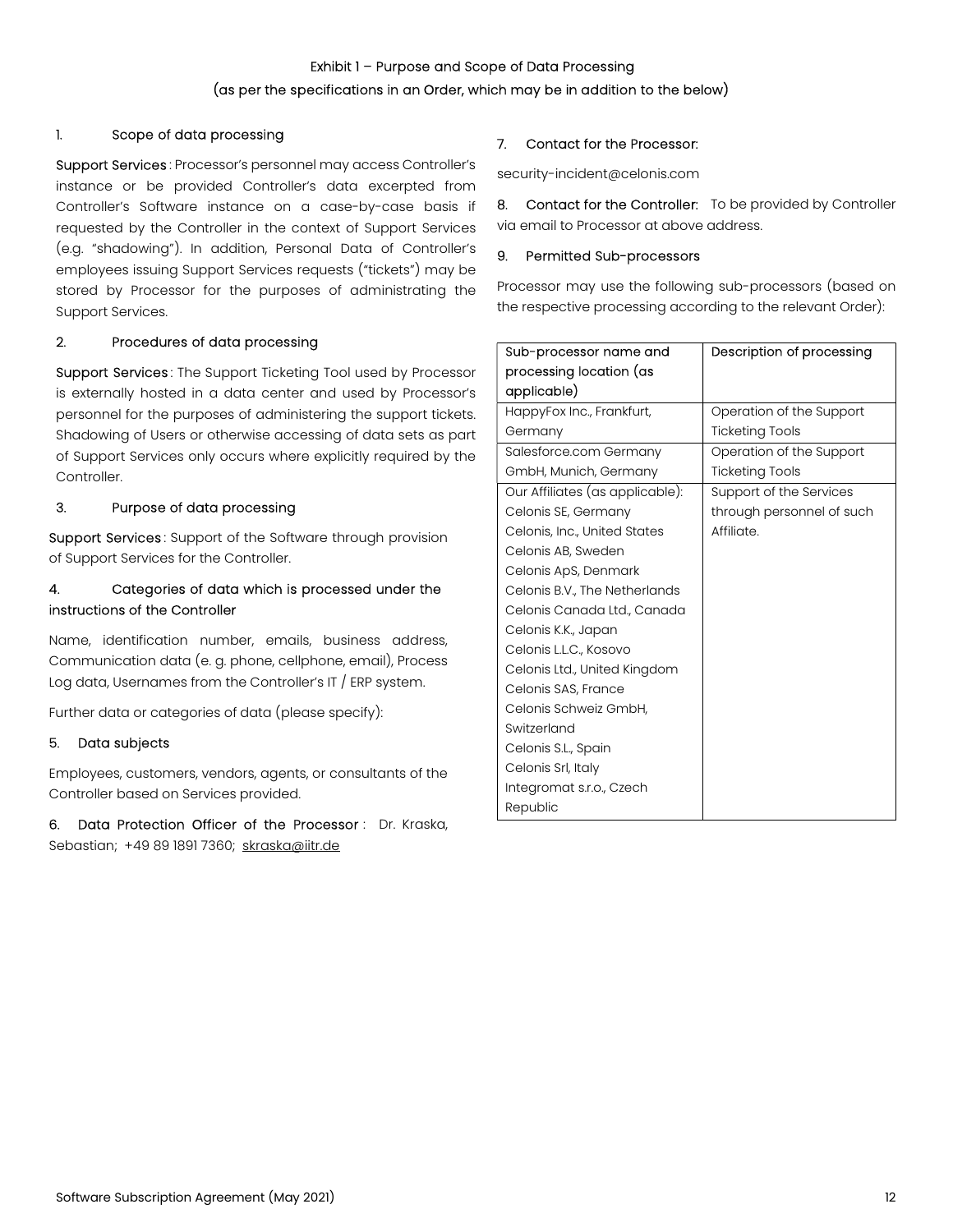# Exhibit 1 – Purpose and Scope of Data Processing (as per the specifications in an Order, which may be in addition to the below)

### 1. Scope of data processing

Support Services : Processor's personnel may access Controller's instance or be provided Controller's data excerpted from Controller's Software instance on a case-by-case basis if requested by the Controller in the context of Support Services (e.g. "shadowing"). In addition, Personal Data of Controller's employees issuing Support Services requests ("tickets") may be stored by Processor for the purposes of administrating the Support Services.

### 2. Procedures of data processing

Support Services: The Support Ticketing Tool used by Processor is externally hosted in a data center and used by Processor's personnel for the purposes of administering the support tickets. Shadowing of Users or otherwise accessing of data sets as part of Support Services only occurs where explicitly required by the Controller.

### 3. Purpose of data processing

Support Services: Support of the Software through provision of Support Services for the Controller.

## 4. Categories of data which is processed under the instructions of the Controller

Name, identification number, emails, business address, Communication data (e. g. phone, cellphone, email), Process Log data, Usernames from the Controller's IT / ERP system.

Further data or categories of data (please specify):

#### 5. Data subjects

Employees, customers, vendors, agents, or consultants of the Controller based on Services provided.

6. Data Protection Officer of the Processor : Dr. Kraska, Sebastian; +49 89 1891 7360; skraska@iitr.de

### 7. Contact for the Processor:

security-incident@celonis.com

8. Contact for the Controller: To be provided by Controller via email to Processor at above address.

#### 9. Permitted Sub-processors

Processor may use the following sub-processors (based on the respective processing according to the relevant Order):

| Sub-processor name and          | Description of processing |
|---------------------------------|---------------------------|
| processing location (as         |                           |
| applicable)                     |                           |
| HappyFox Inc., Frankfurt,       | Operation of the Support  |
| Germany                         | <b>Ticketing Tools</b>    |
| Salesforce.com Germany          | Operation of the Support  |
| GmbH, Munich, Germany           | <b>Ticketing Tools</b>    |
| Our Affiliates (as applicable): | Support of the Services   |
| Celonis SE, Germany             | through personnel of such |
| Celonis, Inc., United States    | Affiliate.                |
| Celonis AB, Sweden              |                           |
| Celonis ApS, Denmark            |                           |
| Celonis B.V., The Netherlands   |                           |
| Celonis Canada Ltd., Canada     |                           |
| Celonis K.K., Japan             |                           |
| Celonis L.L.C., Kosovo          |                           |
| Celonis Ltd., United Kingdom    |                           |
| Celonis SAS, France             |                           |
| Celonis Schweiz GmbH,           |                           |
| Switzerland                     |                           |
| Celonis S.L., Spain             |                           |
| Celonis Srl, Italy              |                           |
| Integromat s.r.o., Czech        |                           |
| Republic                        |                           |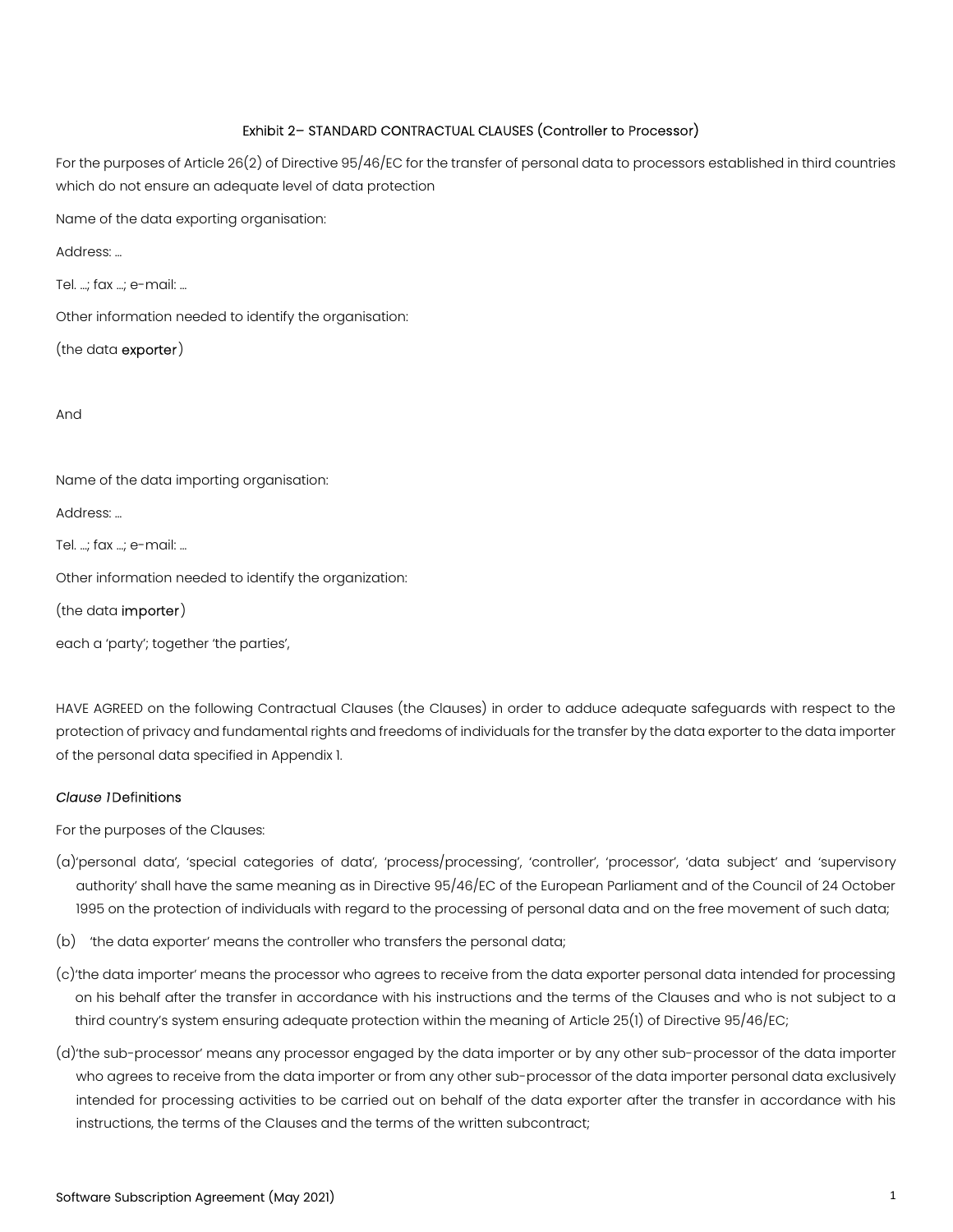### Exhibit 2– STANDARD CONTRACTUAL CLAUSES (Controller to Processor)

For the purposes of Article 26(2) of Directive 95/46/EC for the transfer of personal data to processors established in third countries which do not ensure an adequate level of data protection

Name of the data exporting organisation:

Address: …

Tel. …; fax …; e-mail: …

Other information needed to identify the organisation:

(the data exporter)

And

Name of the data importing organisation:

Address: …

Tel. …; fax …; e-mail: …

Other information needed to identify the organization:

(the data importer)

each a 'party'; together 'the parties',

HAVE AGREED on the following Contractual Clauses (the Clauses) in order to adduce adequate safeguards with respect to the protection of privacy and fundamental rights and freedoms of individuals for the transfer by the data exporter to the data importer of the personal data specified in Appendix 1.

### Clause 1 Definitions

For the purposes of the Clauses:

- (a)'personal data', 'special categories of data', 'process/processing', 'controller', 'processor', 'data subject' and 'supervisory authority' shall have the same meaning as in Directive 95/46/EC of the European Parliament and of the Council of 24 October 1995 on the protection of individuals with regard to the processing of personal data and on the free movement of such data;
- (b) 'the data exporter' means the controller who transfers the personal data;
- (c)'the data importer' means the processor who agrees to receive from the data exporter personal data intended for processing on his behalf after the transfer in accordance with his instructions and the terms of the Clauses and who is not subject to a third country's system ensuring adequate protection within the meaning of Article 25(1) of Directive 95/46/EC;
- (d)'the sub-processor' means any processor engaged by the data importer or by any other sub-processor of the data importer who agrees to receive from the data importer or from any other sub-processor of the data importer personal data exclusively intended for processing activities to be carried out on behalf of the data exporter after the transfer in accordance with his instructions, the terms of the Clauses and the terms of the written subcontract;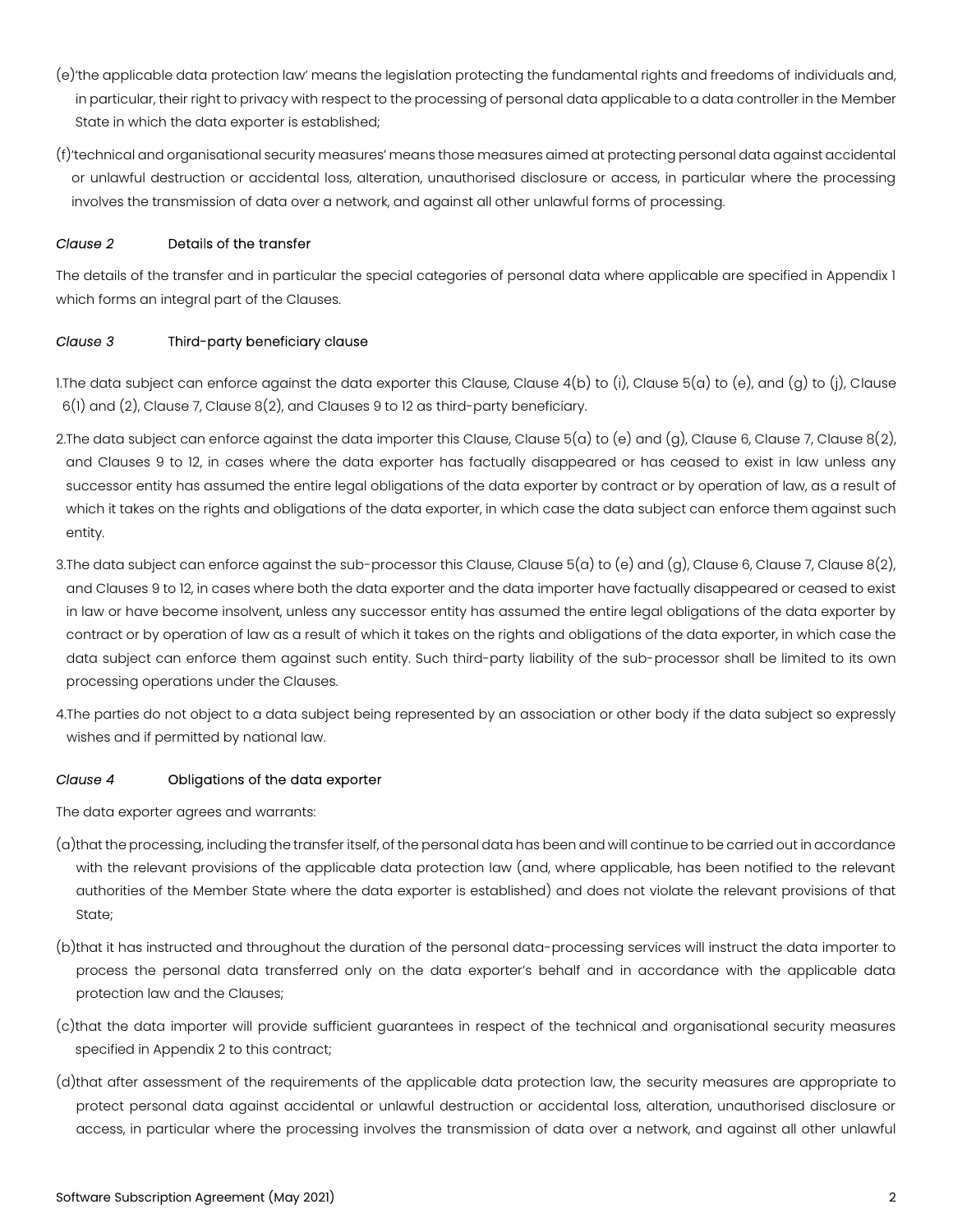- (e)'the applicable data protection law' means the legislation protecting the fundamental rights and freedoms of individuals and, in particular, their right to privacy with respect to the processing of personal data applicable to a data controller in the Member State in which the data exporter is established;
- (f)'technical and organisational security measures' means those measures aimed at protecting personal data against accidental or unlawful destruction or accidental loss, alteration, unauthorised disclosure or access, in particular where the processing involves the transmission of data over a network, and against all other unlawful forms of processing.

#### Clause 2 Details of the transfer

The details of the transfer and in particular the special categories of personal data where applicable are specified in Appendix 1 which forms an integral part of the Clauses.

### Clause 3 Third-party beneficiary clause

- 1.The data subject can enforce against the data exporter this Clause, Clause 4(b) to (i), Clause 5(a) to (e), and (g) to (j), Clause 6(1) and (2), Clause 7, Clause 8(2), and Clauses 9 to 12 as third-party beneficiary.
- 2.The data subject can enforce against the data importer this Clause, Clause 5(a) to (e) and (g), Clause 6, Clause 7, Clause 8(2), and Clauses 9 to 12, in cases where the data exporter has factually disappeared or has ceased to exist in law unless any successor entity has assumed the entire legal obligations of the data exporter by contract or by operation of law, as a result of which it takes on the rights and obligations of the data exporter, in which case the data subject can enforce them against such entity.
- 3.The data subject can enforce against the sub-processor this Clause, Clause 5(a) to (e) and (g), Clause 6, Clause 7, Clause 8(2), and Clauses 9 to 12, in cases where both the data exporter and the data importer have factually disappeared or ceased to exist in law or have become insolvent, unless any successor entity has assumed the entire legal obligations of the data exporter by contract or by operation of law as a result of which it takes on the rights and obligations of the data exporter, in which case the data subject can enforce them against such entity. Such third-party liability of the sub-processor shall be limited to its own processing operations under the Clauses.
- 4.The parties do not object to a data subject being represented by an association or other body if the data subject so expressly wishes and if permitted by national law.

#### Clause 4 Obligations of the data exporter

The data exporter agrees and warrants:

- (a)that the processing, including the transfer itself, of the personal data has been and will continue to be carried out in accordance with the relevant provisions of the applicable data protection law (and, where applicable, has been notified to the relevant authorities of the Member State where the data exporter is established) and does not violate the relevant provisions of that State;
- (b)that it has instructed and throughout the duration of the personal data-processing services will instruct the data importer to process the personal data transferred only on the data exporter's behalf and in accordance with the applicable data protection law and the Clauses;
- (c)that the data importer will provide sufficient guarantees in respect of the technical and organisational security measures specified in Appendix 2 to this contract;
- (d)that after assessment of the requirements of the applicable data protection law, the security measures are appropriate to protect personal data against accidental or unlawful destruction or accidental loss, alteration, unauthorised disclosure or access, in particular where the processing involves the transmission of data over a network, and against all other unlawful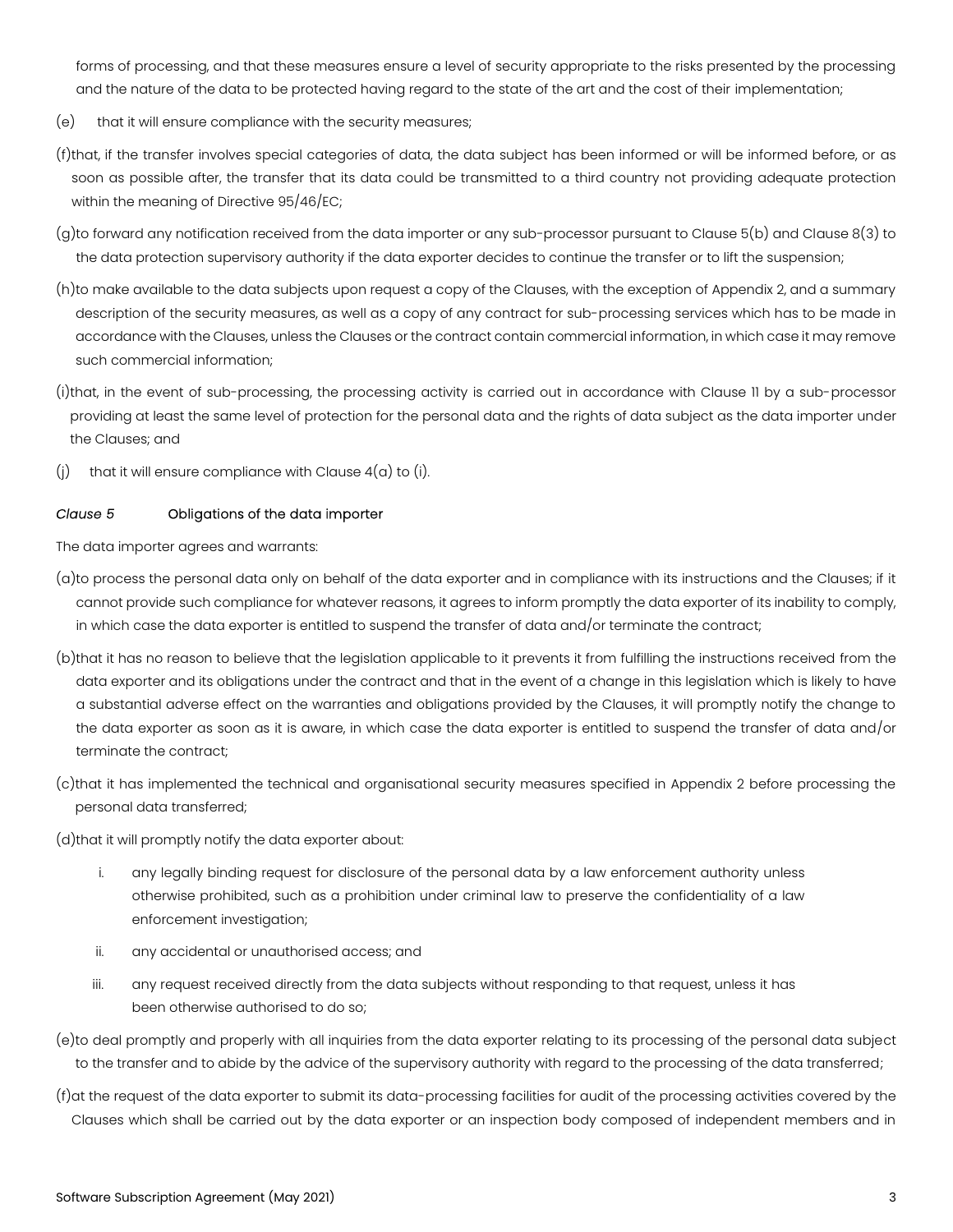forms of processing, and that these measures ensure a level of security appropriate to the risks presented by the processing and the nature of the data to be protected having regard to the state of the art and the cost of their implementation;

- (e) that it will ensure compliance with the security measures;
- (f)that, if the transfer involves special categories of data, the data subject has been informed or will be informed before, or as soon as possible after, the transfer that its data could be transmitted to a third country not providing adequate protection within the meaning of Directive 95/46/EC;
- (g)to forward any notification received from the data importer or any sub-processor pursuant to Clause 5(b) and Clause 8(3) to the data protection supervisory authority if the data exporter decides to continue the transfer or to lift the suspension;
- (h)to make available to the data subjects upon request a copy of the Clauses, with the exception of Appendix 2, and a summary description of the security measures, as well as a copy of any contract for sub-processing services which has to be made in accordance with the Clauses, unless the Clauses or the contract contain commercial information, in which case it may remove such commercial information;
- (i)that, in the event of sub-processing, the processing activity is carried out in accordance with Clause 11 by a sub-processor providing at least the same level of protection for the personal data and the rights of data subject as the data importer under the Clauses; and
- (i) that it will ensure compliance with Clause  $4(a)$  to (i).

### Clause 5 Obligations of the data importer

The data importer agrees and warrants:

- (a)to process the personal data only on behalf of the data exporter and in compliance with its instructions and the Clauses; if it cannot provide such compliance for whatever reasons, it agrees to inform promptly the data exporter of its inability to comply, in which case the data exporter is entitled to suspend the transfer of data and/or terminate the contract;
- (b)that it has no reason to believe that the legislation applicable to it prevents it from fulfilling the instructions received from the data exporter and its obligations under the contract and that in the event of a change in this legislation which is likely to have a substantial adverse effect on the warranties and obligations provided by the Clauses, it will promptly notify the change to the data exporter as soon as it is aware, in which case the data exporter is entitled to suspend the transfer of data and/or terminate the contract;
- (c)that it has implemented the technical and organisational security measures specified in Appendix 2 before processing the personal data transferred;

(d)that it will promptly notify the data exporter about:

- i. any legally binding request for disclosure of the personal data by a law enforcement authority unless otherwise prohibited, such as a prohibition under criminal law to preserve the confidentiality of a law enforcement investigation;
- ii. any accidental or unauthorised access; and
- iii. any request received directly from the data subjects without responding to that request, unless it has been otherwise authorised to do so;

(e)to deal promptly and properly with all inquiries from the data exporter relating to its processing of the personal data subject to the transfer and to abide by the advice of the supervisory authority with regard to the processing of the data transferred;

(f)at the request of the data exporter to submit its data-processing facilities for audit of the processing activities covered by the Clauses which shall be carried out by the data exporter or an inspection body composed of independent members and in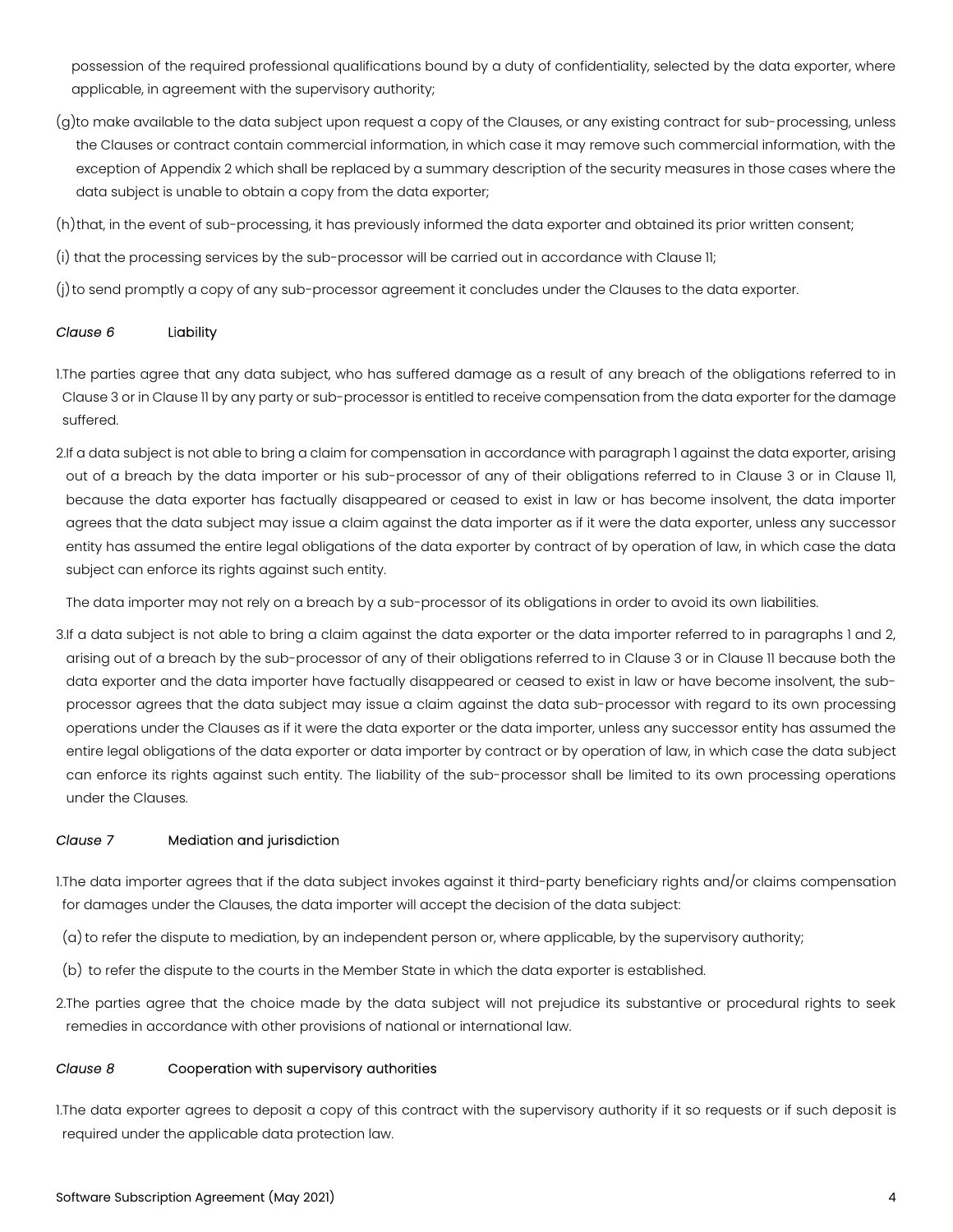possession of the required professional qualifications bound by a duty of confidentiality, selected by the data exporter, where applicable, in agreement with the supervisory authority;

(g)to make available to the data subject upon request a copy of the Clauses, or any existing contract for sub-processing, unless the Clauses or contract contain commercial information, in which case it may remove such commercial information, with the exception of Appendix 2 which shall be replaced by a summary description of the security measures in those cases where the data subject is unable to obtain a copy from the data exporter;

(h)that, in the event of sub-processing, it has previously informed the data exporter and obtained its prior written consent;

(i) that the processing services by the sub-processor will be carried out in accordance with Clause 11;

(j) to send promptly a copy of any sub-processor agreement it concludes under the Clauses to the data exporter.

### Clause 6 Liability

- 1.The parties agree that any data subject, who has suffered damage as a result of any breach of the obligations referred to in Clause 3 or in Clause 11 by any party or sub-processor is entitled to receive compensation from the data exporter for the damage suffered.
- 2.If a data subject is not able to bring a claim for compensation in accordance with paragraph 1 against the data exporter, arising out of a breach by the data importer or his sub-processor of any of their obligations referred to in Clause 3 or in Clause 11, because the data exporter has factually disappeared or ceased to exist in law or has become insolvent, the data importer agrees that the data subject may issue a claim against the data importer as if it were the data exporter, unless any successor entity has assumed the entire legal obligations of the data exporter by contract of by operation of law, in which case the data subject can enforce its rights against such entity.

The data importer may not rely on a breach by a sub-processor of its obligations in order to avoid its own liabilities.

3.If a data subject is not able to bring a claim against the data exporter or the data importer referred to in paragraphs 1 and 2, arising out of a breach by the sub-processor of any of their obligations referred to in Clause 3 or in Clause 11 because both the data exporter and the data importer have factually disappeared or ceased to exist in law or have become insolvent, the subprocessor agrees that the data subject may issue a claim against the data sub-processor with regard to its own processing operations under the Clauses as if it were the data exporter or the data importer, unless any successor entity has assumed the entire legal obligations of the data exporter or data importer by contract or by operation of law, in which case the data subject can enforce its rights against such entity. The liability of the sub-processor shall be limited to its own processing operations under the Clauses.

### Clause 7 Mediation and jurisdiction

1.The data importer agrees that if the data subject invokes against it third-party beneficiary rights and/or claims compensation for damages under the Clauses, the data importer will accept the decision of the data subject:

- (a) to refer the dispute to mediation, by an independent person or, where applicable, by the supervisory authority;
- (b) to refer the dispute to the courts in the Member State in which the data exporter is established.
- 2.The parties agree that the choice made by the data subject will not prejudice its substantive or procedural rights to seek remedies in accordance with other provisions of national or international law.

### Clause 8 Cooperation with supervisory authorities

1.The data exporter agrees to deposit a copy of this contract with the supervisory authority if it so requests or if such deposit is required under the applicable data protection law.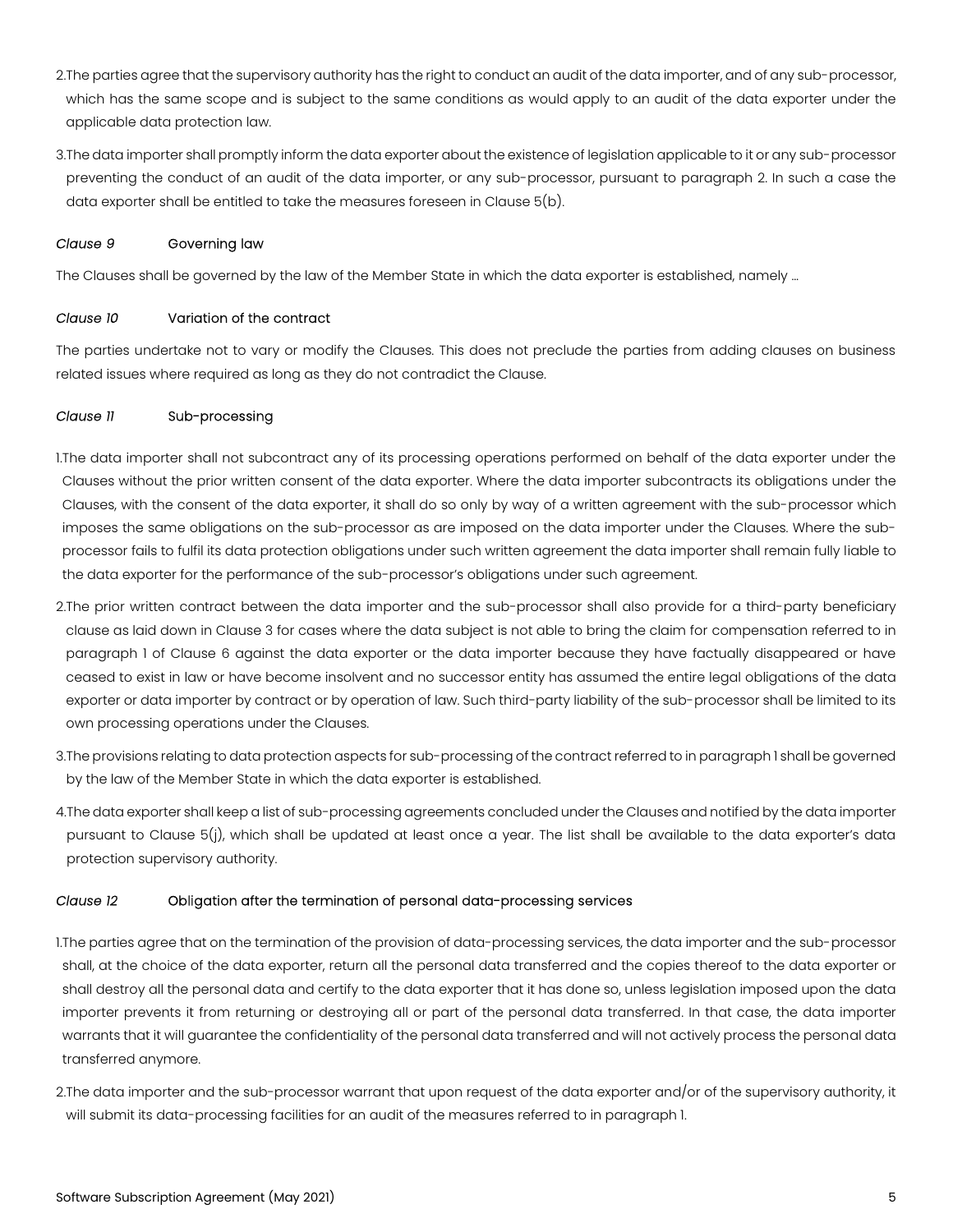- 2.The parties agree that the supervisory authority has the right to conduct an audit of the data importer, and of any sub-processor, which has the same scope and is subject to the same conditions as would apply to an audit of the data exporter under the applicable data protection law.
- 3.The data importer shall promptly inform the data exporter about the existence of legislation applicable to it or any sub-processor preventing the conduct of an audit of the data importer, or any sub-processor, pursuant to paragraph 2. In such a case the data exporter shall be entitled to take the measures foreseen in Clause 5(b).

#### Clause 9 Governing law

The Clauses shall be governed by the law of the Member State in which the data exporter is established, namely …

### Clause 10 Variation of the contract

The parties undertake not to vary or modify the Clauses. This does not preclude the parties from adding clauses on business related issues where required as long as they do not contradict the Clause.

### Clause 11 Sub-processing

- 1.The data importer shall not subcontract any of its processing operations performed on behalf of the data exporter under the Clauses without the prior written consent of the data exporter. Where the data importer subcontracts its obligations under the Clauses, with the consent of the data exporter, it shall do so only by way of a written agreement with the sub-processor which imposes the same obligations on the sub-processor as are imposed on the data importer under the Clauses. Where the subprocessor fails to fulfil its data protection obligations under such written agreement the data importer shall remain fully liable to the data exporter for the performance of the sub-processor's obligations under such agreement.
- 2.The prior written contract between the data importer and the sub-processor shall also provide for a third-party beneficiary clause as laid down in Clause 3 for cases where the data subject is not able to bring the claim for compensation referred to in paragraph 1 of Clause 6 against the data exporter or the data importer because they have factually disappeared or have ceased to exist in law or have become insolvent and no successor entity has assumed the entire legal obligations of the data exporter or data importer by contract or by operation of law. Such third-party liability of the sub-processor shall be limited to its own processing operations under the Clauses.
- 3.The provisions relating to data protection aspects for sub-processing of the contract referred to in paragraph 1 shall be governed by the law of the Member State in which the data exporter is established.
- 4.The data exporter shall keep a list of sub-processing agreements concluded under the Clauses and notified by the data importer pursuant to Clause 5(j), which shall be updated at least once a year. The list shall be available to the data exporter's data protection supervisory authority.

#### Clause 12 Obligation after the termination of personal data-processing services

- 1.The parties agree that on the termination of the provision of data-processing services, the data importer and the sub-processor shall, at the choice of the data exporter, return all the personal data transferred and the copies thereof to the data exporter or shall destroy all the personal data and certify to the data exporter that it has done so, unless legislation imposed upon the data importer prevents it from returning or destroying all or part of the personal data transferred. In that case, the data importer warrants that it will guarantee the confidentiality of the personal data transferred and will not actively process the personal data transferred anymore.
- 2.The data importer and the sub-processor warrant that upon request of the data exporter and/or of the supervisory authority, it will submit its data-processing facilities for an audit of the measures referred to in paragraph 1.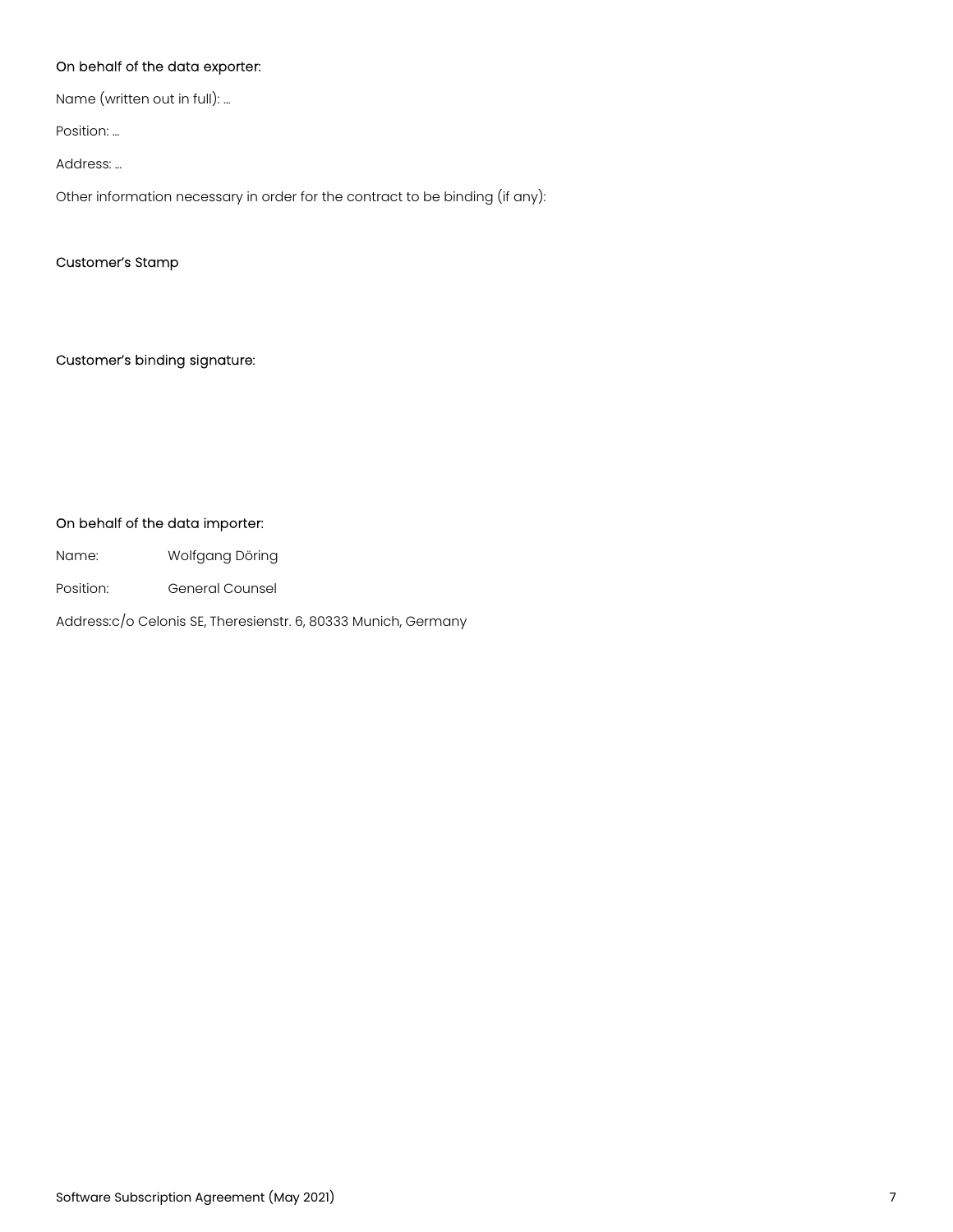### On behalf of the data exporter:

Name (written out in full): …

Position: …

Address: …

Other information necessary in order for the contract to be binding (if any):

### Customer's Stamp

Customer's binding signature:

### On behalf of the data importer:

| Name: | Wolfgang Döring |
|-------|-----------------|
|       |                 |

Position: General Counsel

Address: c/o Celonis SE, Theresienstr. 6, 80333 Munich, Germany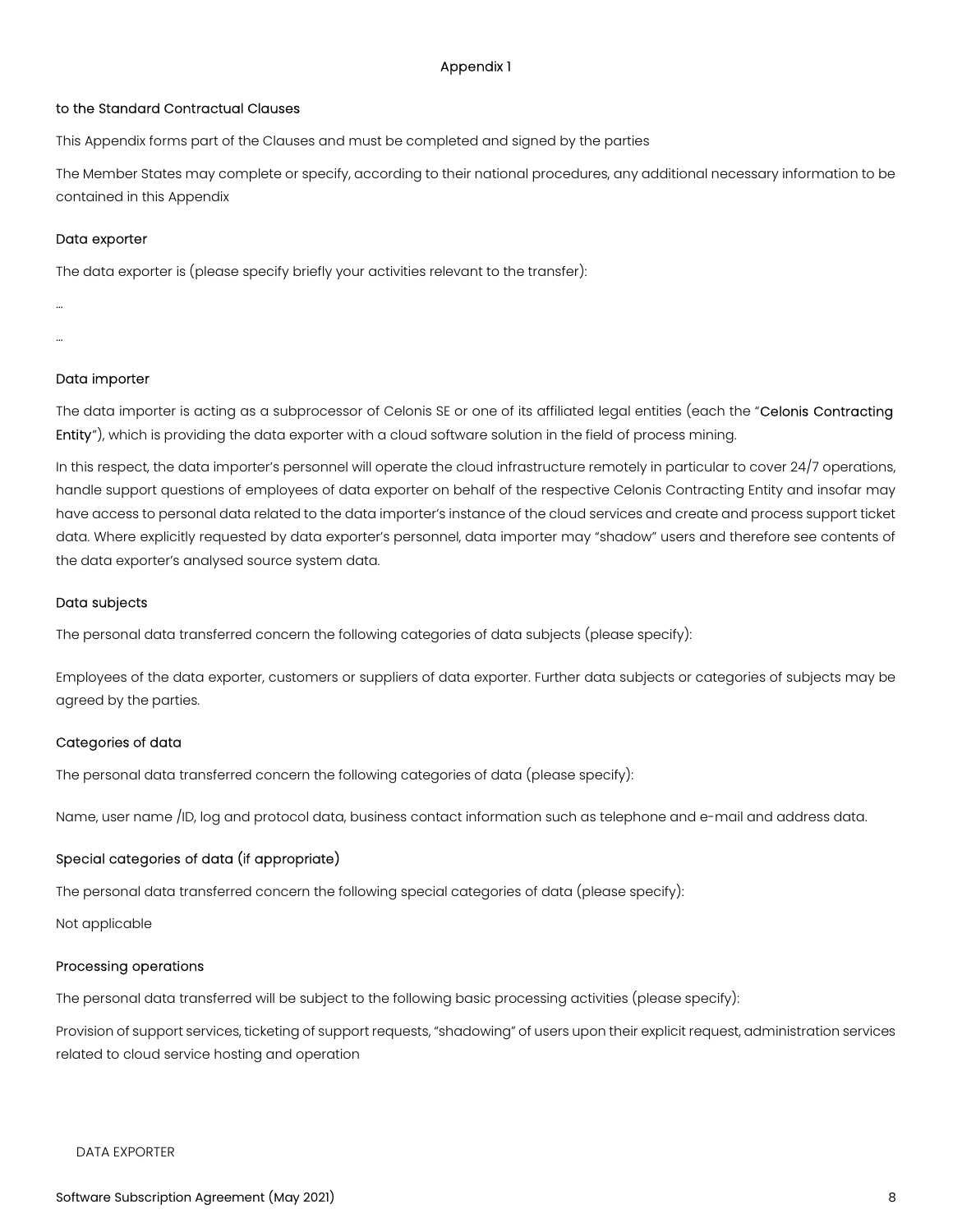### Appendix 1

#### to the Standard Contractual Clauses

This Appendix forms part of the Clauses and must be completed and signed by the parties

The Member States may complete or specify, according to their national procedures, any additional necessary information to be contained in this Appendix

### Data exporter

The data exporter is (please specify briefly your activities relevant to the transfer):

… …

### Data importer

The data importer is acting as a subprocessor of Celonis SE or one of its affiliated legal entities (each the "Celonis Contracting Entity"), which is providing the data exporter with a cloud software solution in the field of process mining.

In this respect, the data importer's personnel will operate the cloud infrastructure remotely in particular to cover 24/7 operations, handle support questions of employees of data exporter on behalf of the respective Celonis Contracting Entity and insofar may have access to personal data related to the data importer's instance of the cloud services and create and process support ticket data. Where explicitly requested by data exporter's personnel, data importer may "shadow" users and therefore see contents of the data exporter's analysed source system data.

### Data subjects

The personal data transferred concern the following categories of data subjects (please specify):

Employees of the data exporter, customers or suppliers of data exporter. Further data subjects or categories of subjects may be agreed by the parties.

### Categories of data

The personal data transferred concern the following categories of data (please specify):

Name, user name /ID, log and protocol data, business contact information such as telephone and e-mail and address data.

### Special categories of data (if appropriate)

The personal data transferred concern the following special categories of data (please specify):

Not applicable

### Processing operations

The personal data transferred will be subject to the following basic processing activities (please specify):

Provision of support services, ticketing of support requests, "shadowing" of users upon their explicit request, administration services related to cloud service hosting and operation

DATA EXPORTER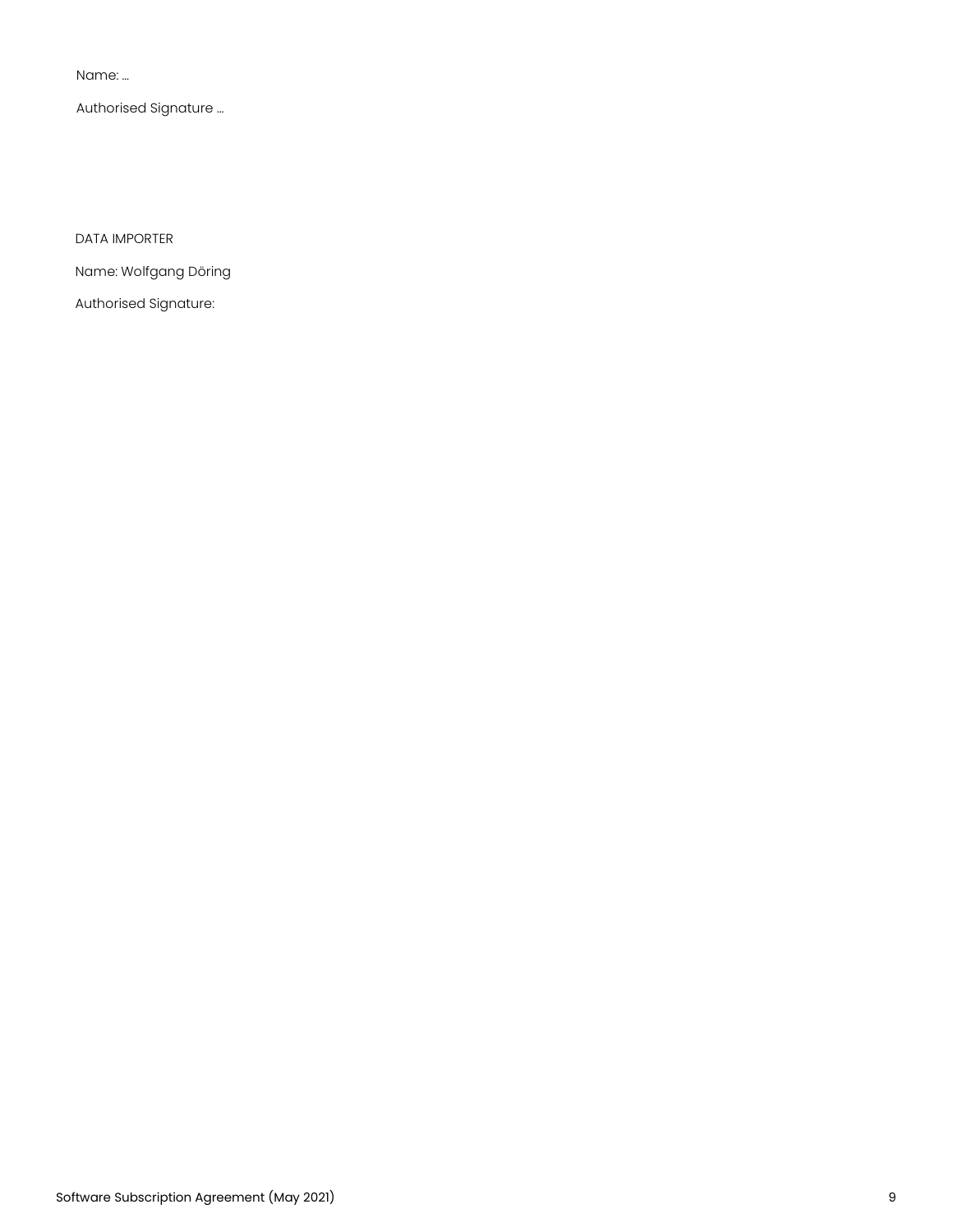Name: …

Authorised Signature …

DATA IMPORTER

Name: Wolfgang Döring

Authorised Signature: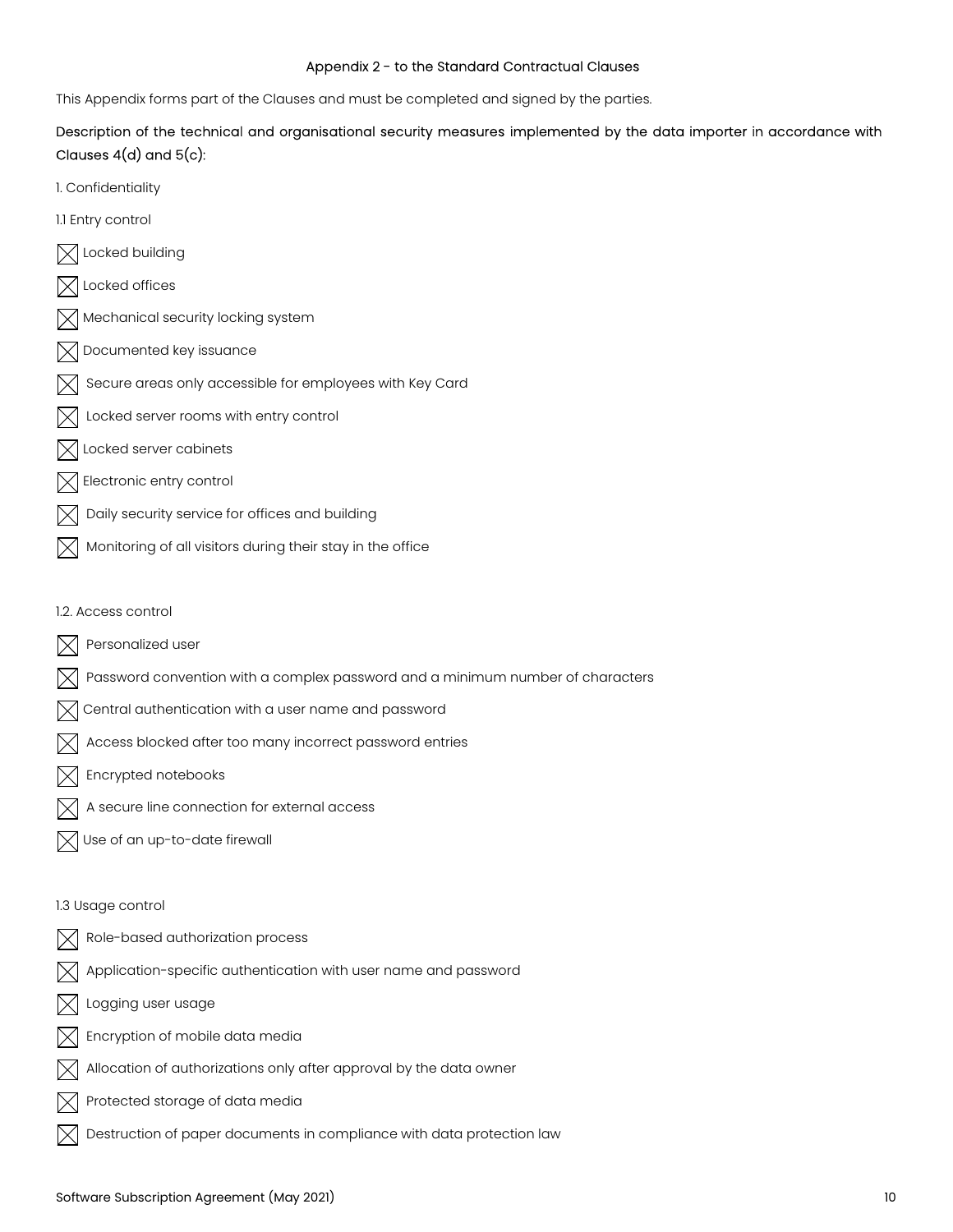### Appendix 2 - to the Standard Contractual Clauses

This Appendix forms part of the Clauses and must be completed and signed by the parties.

# Description of the technical and organisational security measures implemented by the data importer in accordance with Clauses 4(d) and 5(c):

- 1. Confidentiality
- 1.1 Entry control
- $\bowtie$  Locked building
- $\boxtimes$  Locked offices
- $\boxtimes$  Mechanical security locking system
- $\boxtimes$  Documented key issuance
- $\bigtimes$  Secure areas only accessible for employees with Key Card
- $\boxtimes$  Locked server rooms with entry control
- $\boxtimes$  Locked server cabinets
- $\boxtimes$  Electronic entry control
- $\boxtimes$  Daily security service for offices and building
- $\boxtimes$  Monitoring of all visitors during their stay in the office
- 1.2. Access control
- $\boxtimes$  Personalized user
- $\boxtimes$  Password convention with a complex password and a minimum number of characters
- $\bigtimes$  Central authentication with a user name and password
- Access blocked after too many incorrect password entries
- $\boxtimes$  Encrypted notebooks
- $\boxtimes$  A secure line connection for external access
- $\boxtimes$  Use of an up-to-date firewall

#### 1.3 Usage control

- $\times$  Role-based authorization process
- $\bigtimes$  Application-specific authentication with user name and password
- $\times$  Logging user usage
- $\boxtimes$  Encryption of mobile data media
- Allocation of authorizations only after approval by the data owner
- $\bowtie$ Protected storage of data media
- $[\times]$  Destruction of paper documents in compliance with data protection law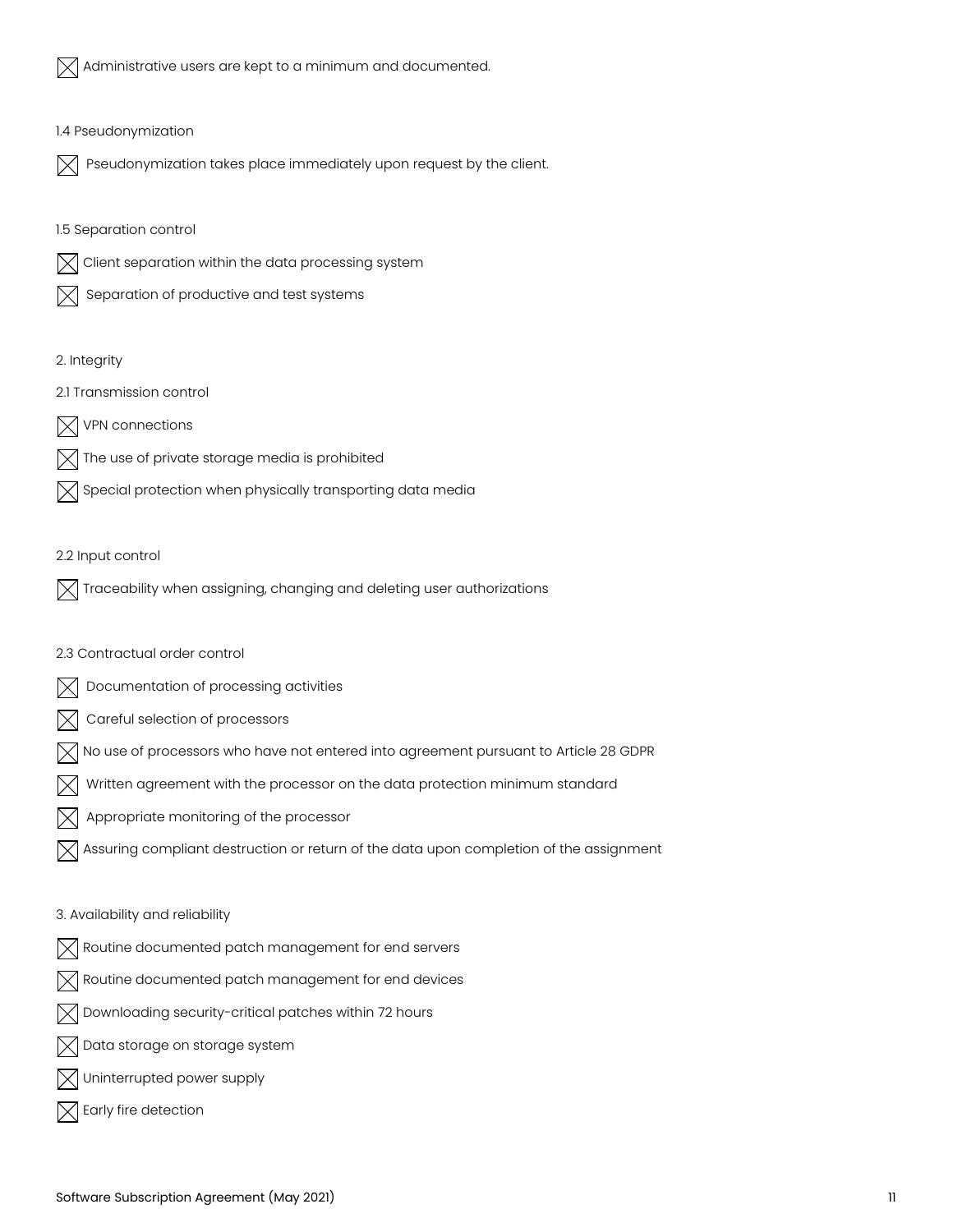

 $\bigtimes$  Administrative users are kept to a minimum and documented.

#### 1.4 Pseudonymization

 $\boxtimes$  Pseudonymization takes place immediately upon request by the client.

#### 1.5 Separation control



 $\boxtimes$  Client separation within the data processing system

 $\boxtimes$  Separation of productive and test systems

#### 2. Integrity

- 2.1 Transmission control
- $\boxtimes$  VPN connections
- $[\times]$  The use of private storage media is prohibited
- $\bigtimes$  Special protection when physically transporting data media

#### 2.2 Input control

- $\bigtimes$  Traceability when assigning, changing and deleting user authorizations
- 2.3 Contractual order control
- $\bigtimes$  Documentation of processing activities
- $\boxtimes$  Careful selection of processors
- $\bigtimes$  No use of processors who have not entered into agreement pursuant to Article 28 GDPR
- $\bigtimes$  Written agreement with the processor on the data protection minimum standard
- $\chi$  Appropriate monitoring of the processor
- $\bigtimes$  Assuring compliant destruction or return of the data upon completion of the assignment

#### 3. Availability and reliability

- $\bigtimes$  Routine documented patch management for end servers
- $\boxtimes$  Routine documented patch management for end devices
- $\boxtimes$  Downloading security-critical patches within 72 hours
- $\boxtimes$  Data storage on storage system
- $\boxtimes$  Uninterrupted power supply
- $\boxtimes$  Early fire detection